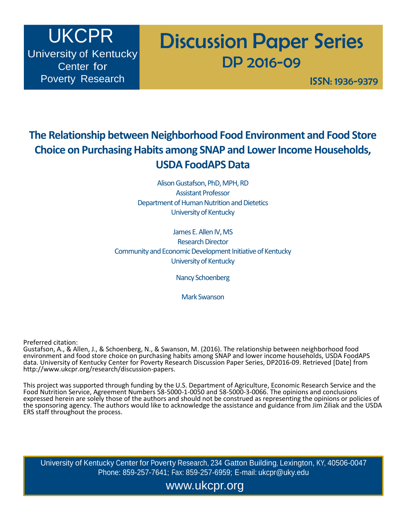# UKCPR

University of Kentucky Center for Poverty Research

# Discussion Paper Series DP 2016-09

ISSN: 1936-9379

# **The Relationship between Neighborhood Food Environment and Food Store Choice on Purchasing Habits among SNAP and Lower Income Households, USDA FoodAPS Data**

Alison Gustafson, PhD, MPH, RD Assistant Professor Department of Human Nutrition and Dietetics University of Kentucky

James E. Allen IV, MS Research Director Community and Economic Development Initiative of Kentucky University of Kentucky

Nancy Schoenberg

Mark Swanson

Preferred citation:

Gustafson, A., & Allen, J., & Schoenberg, N., & Swanson, M. (2016). The relationship between neighborhood food environment and food store choice on purchasing habits among SNAP and lower income households, USDA FoodAPS data. University of Kentucky Center for Poverty Research Discussion Paper Series, DP2016-09. Retrieved [Date] from [http://www.ukcpr.org/research/discussion-papers.](http://www.ukcpr.org/research/discussion-papers)

This project was supported through funding by the U.S. Department of Agriculture, Economic Research Service and the Food Nutrition Service, Agreement Numbers 58-5000-1-0050 and 58-5000-3-0066. The opinions and conclusions expressed herein are solely those of the authors and should not be construed as representing the opinions or policies of the sponsoring agency. The authors would like to acknowledge the assistance and guidance from Jim Ziliak and the USDA ERS staff throughout the process.

University of Kentucky Center for Poverty Research, 234 Gatton Building, Lexington, KY, 40506-0047 Phone: 859-257-7641; Fax: 859-257-6959; E-mail: [ukcpr@uky.edu](mailto:ukcpr@uky.edu)

[www.ukcpr.org](http://www.ukcpr.org/)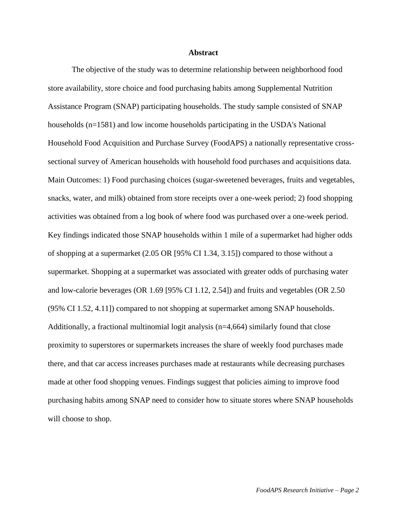# **Abstract**

The objective of the study was to determine relationship between neighborhood food store availability, store choice and food purchasing habits among Supplemental Nutrition Assistance Program (SNAP) participating households. The study sample consisted of SNAP households (n=1581) and low income households participating in the USDA's National Household Food Acquisition and Purchase Survey (FoodAPS) a nationally representative crosssectional survey of American households with household food purchases and acquisitions data. Main Outcomes: 1) Food purchasing choices (sugar-sweetened beverages, fruits and vegetables, snacks, water, and milk) obtained from store receipts over a one-week period; 2) food shopping activities was obtained from a log book of where food was purchased over a one-week period. Key findings indicated those SNAP households within 1 mile of a supermarket had higher odds of shopping at a supermarket (2.05 OR [95% CI 1.34, 3.15]) compared to those without a supermarket. Shopping at a supermarket was associated with greater odds of purchasing water and low-calorie beverages (OR 1.69 [95% CI 1.12, 2.54]) and fruits and vegetables (OR 2.50 (95% CI 1.52, 4.11]) compared to not shopping at supermarket among SNAP households. Additionally, a fractional multinomial logit analysis (n=4,664) similarly found that close proximity to superstores or supermarkets increases the share of weekly food purchases made there, and that car access increases purchases made at restaurants while decreasing purchases made at other food shopping venues. Findings suggest that policies aiming to improve food purchasing habits among SNAP need to consider how to situate stores where SNAP households will choose to shop.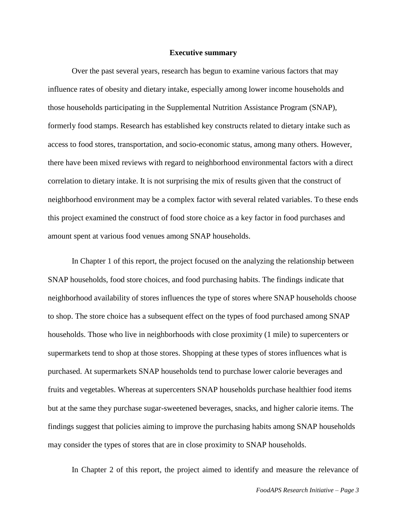#### **Executive summary**

Over the past several years, research has begun to examine various factors that may influence rates of obesity and dietary intake, especially among lower income households and those households participating in the Supplemental Nutrition Assistance Program (SNAP), formerly food stamps. Research has established key constructs related to dietary intake such as access to food stores, transportation, and socio-economic status, among many others. However, there have been mixed reviews with regard to neighborhood environmental factors with a direct correlation to dietary intake. It is not surprising the mix of results given that the construct of neighborhood environment may be a complex factor with several related variables. To these ends this project examined the construct of food store choice as a key factor in food purchases and amount spent at various food venues among SNAP households.

In Chapter 1 of this report, the project focused on the analyzing the relationship between SNAP households, food store choices, and food purchasing habits. The findings indicate that neighborhood availability of stores influences the type of stores where SNAP households choose to shop. The store choice has a subsequent effect on the types of food purchased among SNAP households. Those who live in neighborhoods with close proximity (1 mile) to supercenters or supermarkets tend to shop at those stores. Shopping at these types of stores influences what is purchased. At supermarkets SNAP households tend to purchase lower calorie beverages and fruits and vegetables. Whereas at supercenters SNAP households purchase healthier food items but at the same they purchase sugar-sweetened beverages, snacks, and higher calorie items. The findings suggest that policies aiming to improve the purchasing habits among SNAP households may consider the types of stores that are in close proximity to SNAP households.

In Chapter 2 of this report, the project aimed to identify and measure the relevance of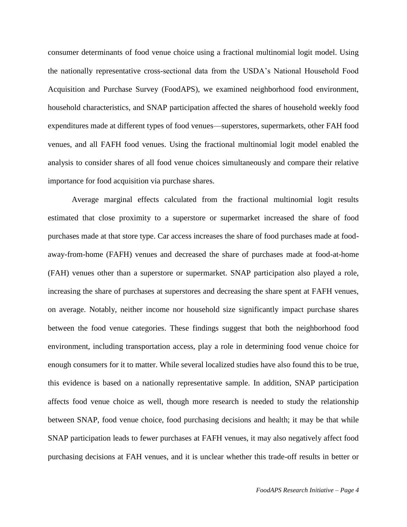consumer determinants of food venue choice using a fractional multinomial logit model. Using the nationally representative cross-sectional data from the USDA's National Household Food Acquisition and Purchase Survey (FoodAPS), we examined neighborhood food environment, household characteristics, and SNAP participation affected the shares of household weekly food expenditures made at different types of food venues—superstores, supermarkets, other FAH food venues, and all FAFH food venues. Using the fractional multinomial logit model enabled the analysis to consider shares of all food venue choices simultaneously and compare their relative importance for food acquisition via purchase shares.

Average marginal effects calculated from the fractional multinomial logit results estimated that close proximity to a superstore or supermarket increased the share of food purchases made at that store type. Car access increases the share of food purchases made at foodaway-from-home (FAFH) venues and decreased the share of purchases made at food-at-home (FAH) venues other than a superstore or supermarket. SNAP participation also played a role, increasing the share of purchases at superstores and decreasing the share spent at FAFH venues, on average. Notably, neither income nor household size significantly impact purchase shares between the food venue categories. These findings suggest that both the neighborhood food environment, including transportation access, play a role in determining food venue choice for enough consumers for it to matter. While several localized studies have also found this to be true, this evidence is based on a nationally representative sample. In addition, SNAP participation affects food venue choice as well, though more research is needed to study the relationship between SNAP, food venue choice, food purchasing decisions and health; it may be that while SNAP participation leads to fewer purchases at FAFH venues, it may also negatively affect food purchasing decisions at FAH venues, and it is unclear whether this trade-off results in better or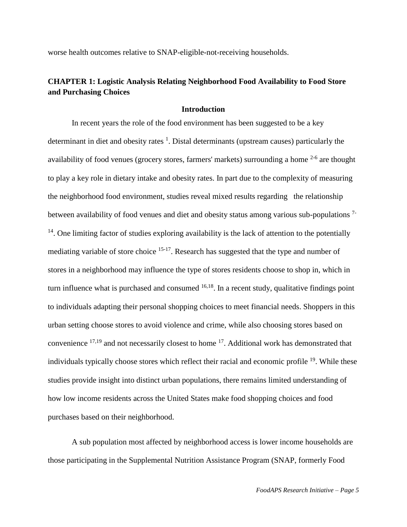worse health outcomes relative to SNAP-eligible-not-receiving households.

# **CHAPTER 1: Logistic Analysis Relating Neighborhood Food Availability to Food Store and Purchasing Choices**

# **Introduction**

In recent years the role of the food environment has been suggested to be a key determinant in diet and obesity rates  $<sup>1</sup>$ [.](#page-17-0) Distal determinants (upstream causes) particularly the</sup> availability of food venues (grocery stores, farmers' markets) surrounding a home <sup>[2-6](#page-17-1)</sup> are thought to play a key role in dietary intake and obesity rates. In part due to the complexity of measuring the neighborhood food environment, studies reveal mixed results regarding the relationship between availability of food venues and diet and obesity status among various sub-populations<sup>[7-](#page-17-2)</sup>  $14$ . One limiting factor of studies exploring availability is the lack of attention to the potentially mediating variable of store choice  $15-17$ . Research has suggested that the type and number of stores in a neighborhood may influence the type of stores residents choose to shop in, which in turn influence what is purchased and consumed  $16,18$  $16,18$ . In a recent study, qualitative findings point to individuals adapting their personal shopping choices to meet financial needs. Shoppers in this urban setting choose stores to avoid violence and crime, while also choosing stores based on convenience [17](#page-18-3)[,19](#page-18-4) and not necessarily closest to home [17](#page-18-3). Additional work has demonstrated that individuals typically choose stores which reflect their racial and economic profile <sup>[19](#page-18-4)</sup>. While these studies provide insight into distinct urban populations, there remains limited understanding of how low income residents across the United States make food shopping choices and food purchases based on their neighborhood.

A sub population most affected by neighborhood access is lower income households are those participating in the Supplemental Nutrition Assistance Program (SNAP, formerly Food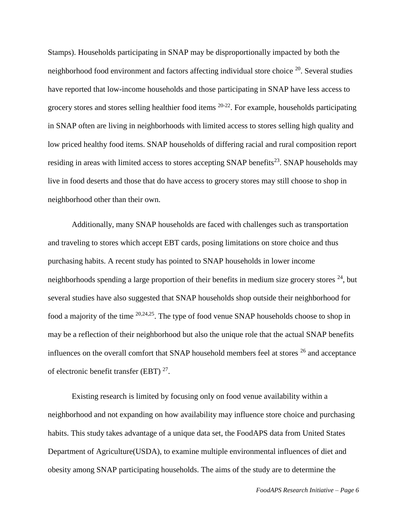Stamps). Households participating in SNAP may be disproportionally impacted by both the neighborhood food environment and factors affecting individual store choice  $20$ . Several studies have reported that low-income households and those participating in SNAP have less access to grocery stores and stores selling healthier food items  $20-22$ . For example, households participating in SNAP often are living in neighborhoods with limited access to stores selling high quality and low priced healthy food items. SNAP households of differing racial and rural composition report residing in areas with limited access to stores accepting SNAP benefits<sup>[23](#page-18-6)</sup>. SNAP households may live in food deserts and those that do have access to grocery stores may still choose to shop in neighborhood other than their own.

Additionally, many SNAP households are faced with challenges such as transportation and traveling to stores which accept EBT cards, posing limitations on store choice and thus purchasing habits. A recent study has pointed to SNAP households in lower income neighborhoods spending a large proportion of their benefits in medium size grocery stores  $^{24}$  $^{24}$  $^{24}$ , but several studies have also suggested that SNAP households shop outside their neighborhood for food a majority of the time [20](#page-18-5)[,24](#page-19-0)[,25](#page-19-1). The type of food venue SNAP households choose to shop in may be a reflection of their neighborhood but also the unique role that the actual SNAP benefits influences on the overall comfort that SNAP household members feel at stores  $26$  and acceptance of electronic benefit transfer (EBT)  $27$ .

Existing research is limited by focusing only on food venue availability within a neighborhood and not expanding on how availability may influence store choice and purchasing habits. This study takes advantage of a unique data set, the FoodAPS data from United States Department of Agriculture(USDA), to examine multiple environmental influences of diet and obesity among SNAP participating households. The aims of the study are to determine the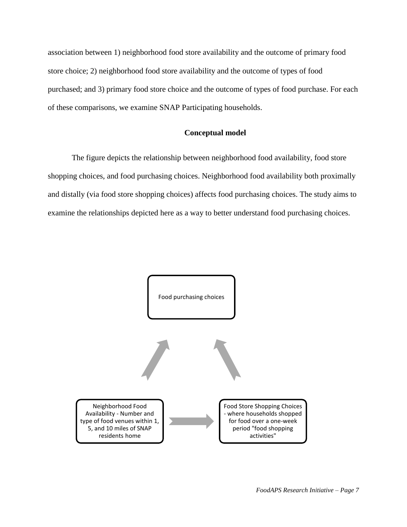association between 1) neighborhood food store availability and the outcome of primary food store choice; 2) neighborhood food store availability and the outcome of types of food purchased; and 3) primary food store choice and the outcome of types of food purchase. For each of these comparisons, we examine SNAP Participating households.

# **Conceptual model**

The figure depicts the relationship between neighborhood food availability, food store shopping choices, and food purchasing choices. Neighborhood food availability both proximally and distally (via food store shopping choices) affects food purchasing choices. The study aims to examine the relationships depicted here as a way to better understand food purchasing choices.

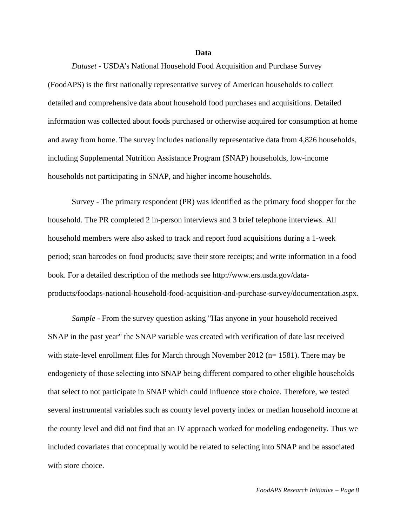### **Data**

*Dataset* - USDA's National Household Food Acquisition and Purchase Survey (FoodAPS) is the first nationally representative survey of American households to collect detailed and comprehensive data about household food purchases and acquisitions. Detailed information was collected about foods purchased or otherwise acquired for consumption at home and away from home. The survey includes nationally representative data from 4,826 households, including Supplemental Nutrition Assistance Program (SNAP) households, low-income households not participating in SNAP, and higher income households.

Survey - The primary respondent (PR) was identified as the primary food shopper for the household. The PR completed 2 in-person interviews and 3 brief telephone interviews. All household members were also asked to track and report food acquisitions during a 1-week period; scan barcodes on food products; save their store receipts; and write information in a food book. For a detailed description of the methods see http://www.ers.usda.gov/dataproducts/foodaps-national-household-food-acquisition-and-purchase-survey/documentation.aspx.

*Sample* - From the survey question asking "Has anyone in your household received SNAP in the past year" the SNAP variable was created with verification of date last received with state-level enrollment files for March through November 2012 ( $n= 1581$ ). There may be endogeniety of those selecting into SNAP being different compared to other eligible households that select to not participate in SNAP which could influence store choice. Therefore, we tested several instrumental variables such as county level poverty index or median household income at the county level and did not find that an IV approach worked for modeling endogeneity. Thus we included covariates that conceptually would be related to selecting into SNAP and be associated with store choice.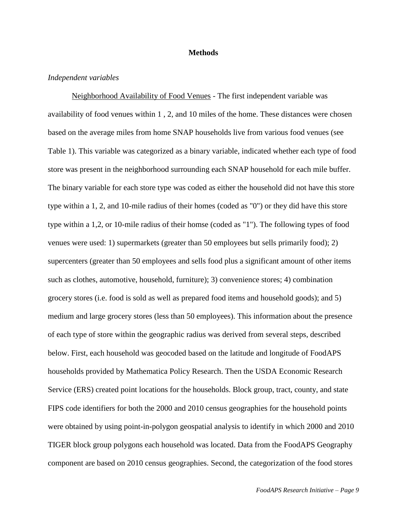# **Methods**

# *Independent variables*

Neighborhood Availability of Food Venues - The first independent variable was availability of food venues within 1 , 2, and 10 miles of the home. These distances were chosen based on the average miles from home SNAP households live from various food venues (see Table 1). This variable was categorized as a binary variable, indicated whether each type of food store was present in the neighborhood surrounding each SNAP household for each mile buffer. The binary variable for each store type was coded as either the household did not have this store type within a 1, 2, and 10-mile radius of their homes (coded as "0") or they did have this store type within a 1,2, or 10-mile radius of their homse (coded as "1"). The following types of food venues were used: 1) supermarkets (greater than 50 employees but sells primarily food); 2) supercenters (greater than 50 employees and sells food plus a significant amount of other items such as clothes, automotive, household, furniture); 3) convenience stores; 4) combination grocery stores (i.e. food is sold as well as prepared food items and household goods); and 5) medium and large grocery stores (less than 50 employees). This information about the presence of each type of store within the geographic radius was derived from several steps, described below. First, each household was geocoded based on the latitude and longitude of FoodAPS households provided by Mathematica Policy Research. Then the USDA Economic Research Service (ERS) created point locations for the households. Block group, tract, county, and state FIPS code identifiers for both the 2000 and 2010 census geographies for the household points were obtained by using point-in-polygon geospatial analysis to identify in which 2000 and 2010 TIGER block group polygons each household was located. Data from the FoodAPS Geography component are based on 2010 census geographies. Second, the categorization of the food stores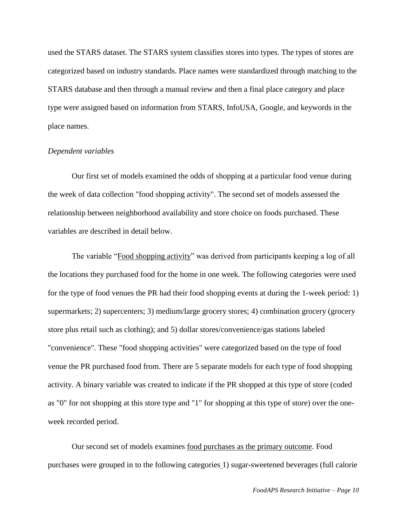used the STARS dataset. The STARS system classifies stores into types. The types of stores are categorized based on industry standards. Place names were standardized through matching to the STARS database and then through a manual review and then a final place category and place type were assigned based on information from STARS, InfoUSA, Google, and keywords in the place names.

# *Dependent variables*

Our first set of models examined the odds of shopping at a particular food venue during the week of data collection "food shopping activity". The second set of models assessed the relationship between neighborhood availability and store choice on foods purchased. These variables are described in detail below.

The variable "Food shopping activity" was derived from participants keeping a log of all the locations they purchased food for the home in one week. The following categories were used for the type of food venues the PR had their food shopping events at during the 1-week period: 1) supermarkets; 2) supercenters; 3) medium/large grocery stores; 4) combination grocery (grocery store plus retail such as clothing); and 5) dollar stores/convenience/gas stations labeled "convenience". These "food shopping activities" were categorized based on the type of food venue the PR purchased food from. There are 5 separate models for each type of food shopping activity. A binary variable was created to indicate if the PR shopped at this type of store (coded as "0" for not shopping at this store type and "1" for shopping at this type of store) over the oneweek recorded period.

Our second set of models examines food purchases as the primary outcome. Food purchases were grouped in to the following categories 1) sugar-sweetened beverages (full calorie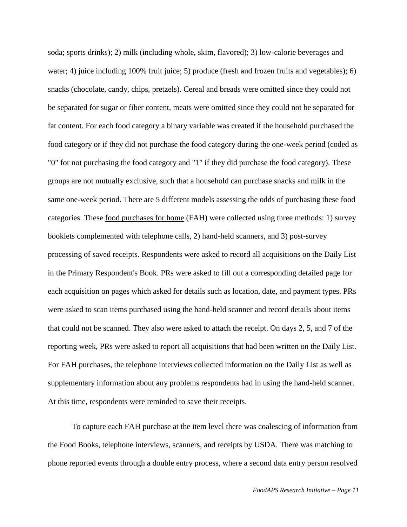soda; sports drinks); 2) milk (including whole, skim, flavored); 3) low-calorie beverages and water; 4) juice including 100% fruit juice; 5) produce (fresh and frozen fruits and vegetables); 6) snacks (chocolate, candy, chips, pretzels). Cereal and breads were omitted since they could not be separated for sugar or fiber content, meats were omitted since they could not be separated for fat content. For each food category a binary variable was created if the household purchased the food category or if they did not purchase the food category during the one-week period (coded as "0" for not purchasing the food category and "1" if they did purchase the food category). These groups are not mutually exclusive, such that a household can purchase snacks and milk in the same one-week period. There are 5 different models assessing the odds of purchasing these food categories. These food purchases for home (FAH) were collected using three methods: 1) survey booklets complemented with telephone calls, 2) hand-held scanners, and 3) post-survey processing of saved receipts. Respondents were asked to record all acquisitions on the Daily List in the Primary Respondent's Book. PRs were asked to fill out a corresponding detailed page for each acquisition on pages which asked for details such as location, date, and payment types. PRs were asked to scan items purchased using the hand-held scanner and record details about items that could not be scanned. They also were asked to attach the receipt. On days 2, 5, and 7 of the reporting week, PRs were asked to report all acquisitions that had been written on the Daily List. For FAH purchases, the telephone interviews collected information on the Daily List as well as supplementary information about any problems respondents had in using the hand-held scanner. At this time, respondents were reminded to save their receipts.

To capture each FAH purchase at the item level there was coalescing of information from the Food Books, telephone interviews, scanners, and receipts by USDA. There was matching to phone reported events through a double entry process, where a second data entry person resolved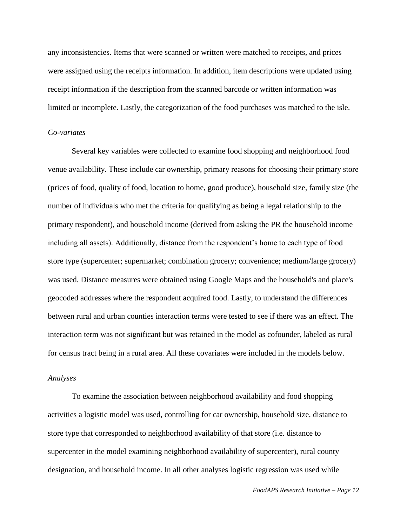any inconsistencies. Items that were scanned or written were matched to receipts, and prices were assigned using the receipts information. In addition, item descriptions were updated using receipt information if the description from the scanned barcode or written information was limited or incomplete. Lastly, the categorization of the food purchases was matched to the isle.

# *Co-variates*

Several key variables were collected to examine food shopping and neighborhood food venue availability. These include car ownership, primary reasons for choosing their primary store (prices of food, quality of food, location to home, good produce), household size, family size (the number of individuals who met the criteria for qualifying as being a legal relationship to the primary respondent), and household income (derived from asking the PR the household income including all assets). Additionally, distance from the respondent's home to each type of food store type (supercenter; supermarket; combination grocery; convenience; medium/large grocery) was used. Distance measures were obtained using Google Maps and the household's and place's geocoded addresses where the respondent acquired food. Lastly, to understand the differences between rural and urban counties interaction terms were tested to see if there was an effect. The interaction term was not significant but was retained in the model as cofounder, labeled as rural for census tract being in a rural area. All these covariates were included in the models below.

# *Analyses*

To examine the association between neighborhood availability and food shopping activities a logistic model was used, controlling for car ownership, household size, distance to store type that corresponded to neighborhood availability of that store (i.e. distance to supercenter in the model examining neighborhood availability of supercenter), rural county designation, and household income. In all other analyses logistic regression was used while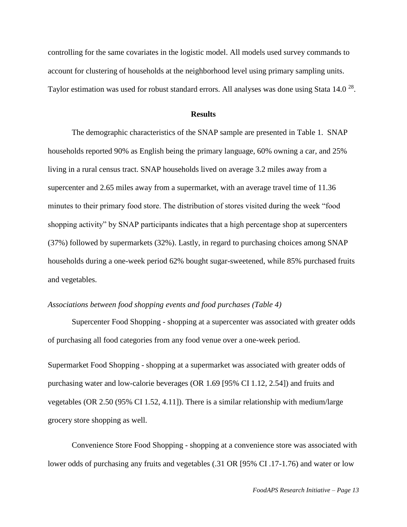controlling for the same covariates in the logistic model. All models used survey commands to account for clustering of households at the neighborhood level using primary sampling units. Taylor estimation was used for robust standard errors. All analyses was done using Stata 14.0<sup>[28](#page-19-4)</sup>.

# **Results**

The demographic characteristics of the SNAP sample are presented in Table 1. SNAP households reported 90% as English being the primary language, 60% owning a car, and 25% living in a rural census tract. SNAP households lived on average 3.2 miles away from a supercenter and 2.65 miles away from a supermarket, with an average travel time of 11.36 minutes to their primary food store. The distribution of stores visited during the week "food shopping activity" by SNAP participants indicates that a high percentage shop at supercenters (37%) followed by supermarkets (32%). Lastly, in regard to purchasing choices among SNAP households during a one-week period 62% bought sugar-sweetened, while 85% purchased fruits and vegetables.

# *Associations between food shopping events and food purchases (Table 4)*

Supercenter Food Shopping - shopping at a supercenter was associated with greater odds of purchasing all food categories from any food venue over a one-week period.

Supermarket Food Shopping - shopping at a supermarket was associated with greater odds of purchasing water and low-calorie beverages (OR 1.69 [95% CI 1.12, 2.54]) and fruits and vegetables (OR 2.50 (95% CI 1.52, 4.11]). There is a similar relationship with medium/large grocery store shopping as well.

Convenience Store Food Shopping - shopping at a convenience store was associated with lower odds of purchasing any fruits and vegetables (.31 OR [95% CI .17-1.76) and water or low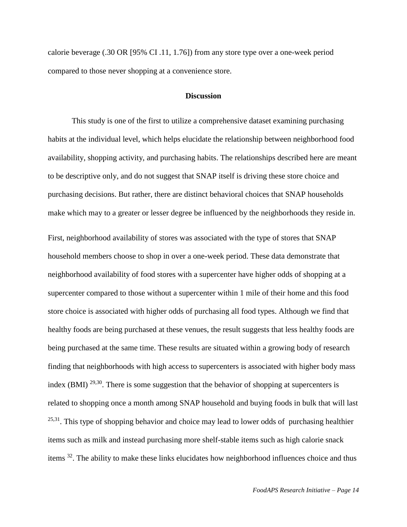calorie beverage (.30 OR [95% CI .11, 1.76]) from any store type over a one-week period compared to those never shopping at a convenience store.

# **Discussion**

This study is one of the first to utilize a comprehensive dataset examining purchasing habits at the individual level, which helps elucidate the relationship between neighborhood food availability, shopping activity, and purchasing habits. The relationships described here are meant to be descriptive only, and do not suggest that SNAP itself is driving these store choice and purchasing decisions. But rather, there are distinct behavioral choices that SNAP households make which may to a greater or lesser degree be influenced by the neighborhoods they reside in.

First, neighborhood availability of stores was associated with the type of stores that SNAP household members choose to shop in over a one-week period. These data demonstrate that neighborhood availability of food stores with a supercenter have higher odds of shopping at a supercenter compared to those without a supercenter within 1 mile of their home and this food store choice is associated with higher odds of purchasing all food types. Although we find that healthy foods are being purchased at these venues, the result suggests that less healthy foods are being purchased at the same time. These results are situated within a growing body of research finding that neighborhoods with high access to supercenters is associated with higher body mass index (BMI)  $^{29,30}$  $^{29,30}$  $^{29,30}$  $^{29,30}$ . There is some suggestion that the behavior of shopping at supercenters is related to shopping once a month among SNAP household and buying foods in bulk that will last  $25,31$  $25,31$ . This type of shopping behavior and choice may lead to lower odds of purchasing healthier items such as milk and instead purchasing more shelf-stable items such as high calorie snack items [32](#page-19-8). The ability to make these links elucidates how neighborhood influences choice and thus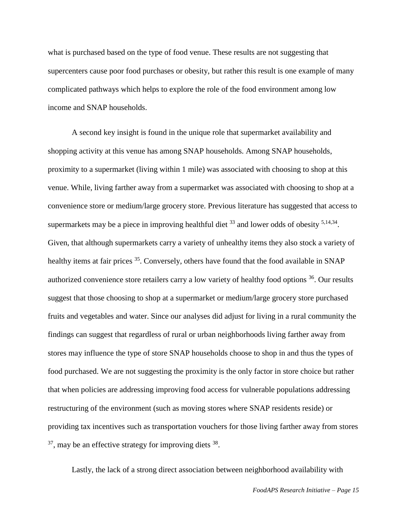what is purchased based on the type of food venue. These results are not suggesting that supercenters cause poor food purchases or obesity, but rather this result is one example of many complicated pathways which helps to explore the role of the food environment among low income and SNAP households.

A second key insight is found in the unique role that supermarket availability and shopping activity at this venue has among SNAP households. Among SNAP households, proximity to a supermarket (living within 1 mile) was associated with choosing to shop at this venue. While, living farther away from a supermarket was associated with choosing to shop at a convenience store or medium/large grocery store. Previous literature has suggested that access to supermarkets may be a piece in improving healthful diet  $33$  and lower odds of obesity  $5,14,34$  $5,14,34$  $5,14,34$ . Given, that although supermarkets carry a variety of unhealthy items they also stock a variety of healthy items at fair prices <sup>[35](#page-19-11)</sup>. Conversely, others have found that the food available in SNAP authorized convenience store retailers carry a low variety of healthy food options <sup>[36](#page-19-12)</sup>. Our results suggest that those choosing to shop at a supermarket or medium/large grocery store purchased fruits and vegetables and water. Since our analyses did adjust for living in a rural community the findings can suggest that regardless of rural or urban neighborhoods living farther away from stores may influence the type of store SNAP households choose to shop in and thus the types of food purchased. We are not suggesting the proximity is the only factor in store choice but rather that when policies are addressing improving food access for vulnerable populations addressing restructuring of the environment (such as moving stores where SNAP residents reside) or providing tax incentives such as transportation vouchers for those living farther away from stores  $37$ , may be an effective strategy for improving diets  $38$ .

Lastly, the lack of a strong direct association between neighborhood availability with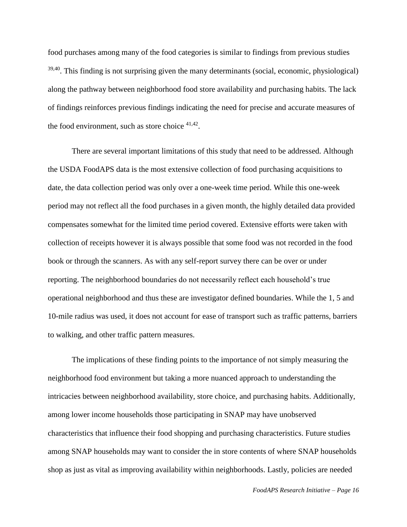food purchases among many of the food categories is similar to findings from previous studies  $39,40$  $39,40$ . This finding is not surprising given the many determinants (social, economic, physiological) along the pathway between neighborhood food store availability and purchasing habits. The lack of findings reinforces previous findings indicating the need for precise and accurate measures of the food environment, such as store choice  $41,42$  $41,42$ .

There are several important limitations of this study that need to be addressed. Although the USDA FoodAPS data is the most extensive collection of food purchasing acquisitions to date, the data collection period was only over a one-week time period. While this one-week period may not reflect all the food purchases in a given month, the highly detailed data provided compensates somewhat for the limited time period covered. Extensive efforts were taken with collection of receipts however it is always possible that some food was not recorded in the food book or through the scanners. As with any self-report survey there can be over or under reporting. The neighborhood boundaries do not necessarily reflect each household's true operational neighborhood and thus these are investigator defined boundaries. While the 1, 5 and 10-mile radius was used, it does not account for ease of transport such as traffic patterns, barriers to walking, and other traffic pattern measures.

The implications of these finding points to the importance of not simply measuring the neighborhood food environment but taking a more nuanced approach to understanding the intricacies between neighborhood availability, store choice, and purchasing habits. Additionally, among lower income households those participating in SNAP may have unobserved characteristics that influence their food shopping and purchasing characteristics. Future studies among SNAP households may want to consider the in store contents of where SNAP households shop as just as vital as improving availability within neighborhoods. Lastly, policies are needed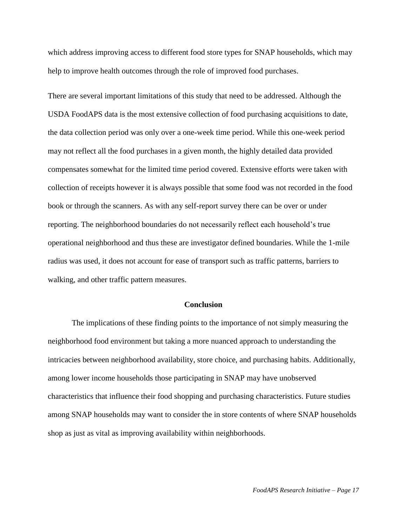which address improving access to different food store types for SNAP households, which may help to improve health outcomes through the role of improved food purchases.

There are several important limitations of this study that need to be addressed. Although the USDA FoodAPS data is the most extensive collection of food purchasing acquisitions to date, the data collection period was only over a one-week time period. While this one-week period may not reflect all the food purchases in a given month, the highly detailed data provided compensates somewhat for the limited time period covered. Extensive efforts were taken with collection of receipts however it is always possible that some food was not recorded in the food book or through the scanners. As with any self-report survey there can be over or under reporting. The neighborhood boundaries do not necessarily reflect each household's true operational neighborhood and thus these are investigator defined boundaries. While the 1-mile radius was used, it does not account for ease of transport such as traffic patterns, barriers to walking, and other traffic pattern measures.

# **Conclusion**

The implications of these finding points to the importance of not simply measuring the neighborhood food environment but taking a more nuanced approach to understanding the intricacies between neighborhood availability, store choice, and purchasing habits. Additionally, among lower income households those participating in SNAP may have unobserved characteristics that influence their food shopping and purchasing characteristics. Future studies among SNAP households may want to consider the in store contents of where SNAP households shop as just as vital as improving availability within neighborhoods.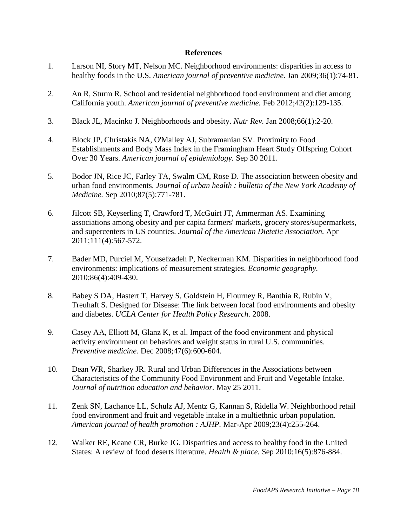# **References**

- <span id="page-17-0"></span>1. Larson NI, Story MT, Nelson MC. Neighborhood environments: disparities in access to healthy foods in the U.S. *American journal of preventive medicine.* Jan 2009;36(1):74-81.
- <span id="page-17-1"></span>2. An R, Sturm R. School and residential neighborhood food environment and diet among California youth. *American journal of preventive medicine.* Feb 2012;42(2):129-135.
- 3. Black JL, Macinko J. Neighborhoods and obesity. *Nutr Rev.* Jan 2008;66(1):2-20.
- 4. Block JP, Christakis NA, O'Malley AJ, Subramanian SV. Proximity to Food Establishments and Body Mass Index in the Framingham Heart Study Offspring Cohort Over 30 Years. *American journal of epidemiology.* Sep 30 2011.
- <span id="page-17-3"></span>5. Bodor JN, Rice JC, Farley TA, Swalm CM, Rose D. The association between obesity and urban food environments. *Journal of urban health : bulletin of the New York Academy of Medicine.* Sep 2010;87(5):771-781.
- 6. Jilcott SB, Keyserling T, Crawford T, McGuirt JT, Ammerman AS. Examining associations among obesity and per capita farmers' markets, grocery stores/supermarkets, and supercenters in US counties. *Journal of the American Dietetic Association.* Apr 2011;111(4):567-572.
- <span id="page-17-2"></span>7. Bader MD, Purciel M, Yousefzadeh P, Neckerman KM. Disparities in neighborhood food environments: implications of measurement strategies. *Economic geography.*  2010;86(4):409-430.
- 8. Babey S DA, Hastert T, Harvey S, Goldstein H, Flourney R, Banthia R, Rubin V, Treuhaft S. Designed for Disease: The link between local food environments and obesity and diabetes. *UCLA Center for Health Policy Research.* 2008.
- 9. Casey AA, Elliott M, Glanz K, et al. Impact of the food environment and physical activity environment on behaviors and weight status in rural U.S. communities. *Preventive medicine.* Dec 2008;47(6):600-604.
- 10. Dean WR, Sharkey JR. Rural and Urban Differences in the Associations between Characteristics of the Community Food Environment and Fruit and Vegetable Intake. *Journal of nutrition education and behavior.* May 25 2011.
- 11. Zenk SN, Lachance LL, Schulz AJ, Mentz G, Kannan S, Ridella W. Neighborhood retail food environment and fruit and vegetable intake in a multiethnic urban population. *American journal of health promotion : AJHP.* Mar-Apr 2009;23(4):255-264.
- 12. Walker RE, Keane CR, Burke JG. Disparities and access to healthy food in the United States: A review of food deserts literature. *Health & place.* Sep 2010;16(5):876-884.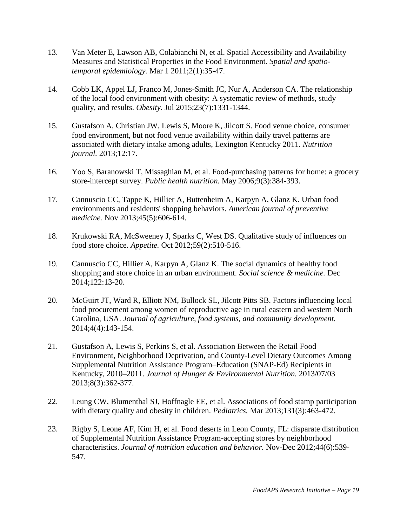- 13. Van Meter E, Lawson AB, Colabianchi N, et al. Spatial Accessibility and Availability Measures and Statistical Properties in the Food Environment. *Spatial and spatiotemporal epidemiology.* Mar 1 2011;2(1):35-47.
- <span id="page-18-7"></span>14. Cobb LK, Appel LJ, Franco M, Jones-Smith JC, Nur A, Anderson CA. The relationship of the local food environment with obesity: A systematic review of methods, study quality, and results. *Obesity.* Jul 2015;23(7):1331-1344.
- <span id="page-18-0"></span>15. Gustafson A, Christian JW, Lewis S, Moore K, Jilcott S. Food venue choice, consumer food environment, but not food venue availability within daily travel patterns are associated with dietary intake among adults, Lexington Kentucky 2011. *Nutrition journal.* 2013;12:17.
- <span id="page-18-1"></span>16. Yoo S, Baranowski T, Missaghian M, et al. Food-purchasing patterns for home: a grocery store-intercept survey. *Public health nutrition.* May 2006;9(3):384-393.
- <span id="page-18-3"></span>17. Cannuscio CC, Tappe K, Hillier A, Buttenheim A, Karpyn A, Glanz K. Urban food environments and residents' shopping behaviors. *American journal of preventive medicine.* Nov 2013;45(5):606-614.
- <span id="page-18-2"></span>18. Krukowski RA, McSweeney J, Sparks C, West DS. Qualitative study of influences on food store choice. *Appetite.* Oct 2012;59(2):510-516.
- <span id="page-18-4"></span>19. Cannuscio CC, Hillier A, Karpyn A, Glanz K. The social dynamics of healthy food shopping and store choice in an urban environment. *Social science & medicine.* Dec 2014;122:13-20.
- <span id="page-18-5"></span>20. McGuirt JT, Ward R, Elliott NM, Bullock SL, Jilcott Pitts SB. Factors influencing local food procurement among women of reproductive age in rural eastern and western North Carolina, USA. *Journal of agriculture, food systems, and community development.*  2014;4(4):143-154.
- 21. Gustafson A, Lewis S, Perkins S, et al. Association Between the Retail Food Environment, Neighborhood Deprivation, and County-Level Dietary Outcomes Among Supplemental Nutrition Assistance Program–Education (SNAP-Ed) Recipients in Kentucky, 2010–2011. *Journal of Hunger & Environmental Nutrition.* 2013/07/03 2013;8(3):362-377.
- 22. Leung CW, Blumenthal SJ, Hoffnagle EE, et al. Associations of food stamp participation with dietary quality and obesity in children. *Pediatrics.* Mar 2013;131(3):463-472.
- <span id="page-18-6"></span>23. Rigby S, Leone AF, Kim H, et al. Food deserts in Leon County, FL: disparate distribution of Supplemental Nutrition Assistance Program-accepting stores by neighborhood characteristics. *Journal of nutrition education and behavior.* Nov-Dec 2012;44(6):539- 547.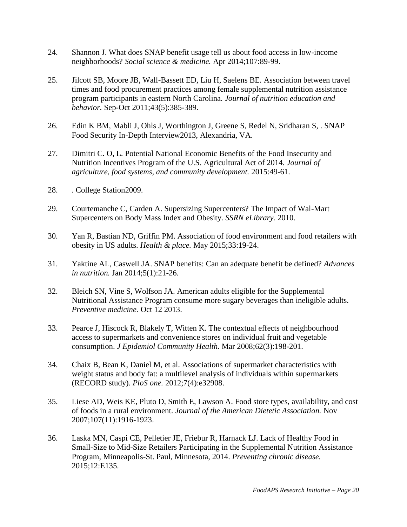- <span id="page-19-0"></span>24. Shannon J. What does SNAP benefit usage tell us about food access in low-income neighborhoods? *Social science & medicine.* Apr 2014;107:89-99.
- <span id="page-19-1"></span>25. Jilcott SB, Moore JB, Wall-Bassett ED, Liu H, Saelens BE. Association between travel times and food procurement practices among female supplemental nutrition assistance program participants in eastern North Carolina. *Journal of nutrition education and behavior.* Sep-Oct 2011;43(5):385-389.
- <span id="page-19-2"></span>26. Edin K BM, Mabli J, Ohls J, Worthington J, Greene S, Redel N, Sridharan S, . SNAP Food Security In-Depth Interview2013, Alexandria, VA.
- <span id="page-19-3"></span>27. Dimitri C. O, L. Potential National Economic Benefits of the Food Insecurity and Nutrition Incentives Program of the U.S. Agricultural Act of 2014. *Journal of agriculture, food systems, and community development.* 2015:49-61.
- <span id="page-19-4"></span>28. . College Station2009.
- <span id="page-19-5"></span>29. Courtemanche C, Carden A. Supersizing Supercenters? The Impact of Wal-Mart Supercenters on Body Mass Index and Obesity. *SSRN eLibrary.* 2010.
- <span id="page-19-6"></span>30. Yan R, Bastian ND, Griffin PM. Association of food environment and food retailers with obesity in US adults. *Health & place.* May 2015;33:19-24.
- <span id="page-19-7"></span>31. Yaktine AL, Caswell JA. SNAP benefits: Can an adequate benefit be defined? *Advances in nutrition.* Jan 2014;5(1):21-26.
- <span id="page-19-8"></span>32. Bleich SN, Vine S, Wolfson JA. American adults eligible for the Supplemental Nutritional Assistance Program consume more sugary beverages than ineligible adults. *Preventive medicine.* Oct 12 2013.
- <span id="page-19-9"></span>33. Pearce J, Hiscock R, Blakely T, Witten K. The contextual effects of neighbourhood access to supermarkets and convenience stores on individual fruit and vegetable consumption. *J Epidemiol Community Health.* Mar 2008;62(3):198-201.
- <span id="page-19-10"></span>34. Chaix B, Bean K, Daniel M, et al. Associations of supermarket characteristics with weight status and body fat: a multilevel analysis of individuals within supermarkets (RECORD study). *PloS one.* 2012;7(4):e32908.
- <span id="page-19-11"></span>35. Liese AD, Weis KE, Pluto D, Smith E, Lawson A. Food store types, availability, and cost of foods in a rural environment. *Journal of the American Dietetic Association.* Nov 2007;107(11):1916-1923.
- <span id="page-19-12"></span>36. Laska MN, Caspi CE, Pelletier JE, Friebur R, Harnack LJ. Lack of Healthy Food in Small-Size to Mid-Size Retailers Participating in the Supplemental Nutrition Assistance Program, Minneapolis-St. Paul, Minnesota, 2014. *Preventing chronic disease.*  2015;12:E135.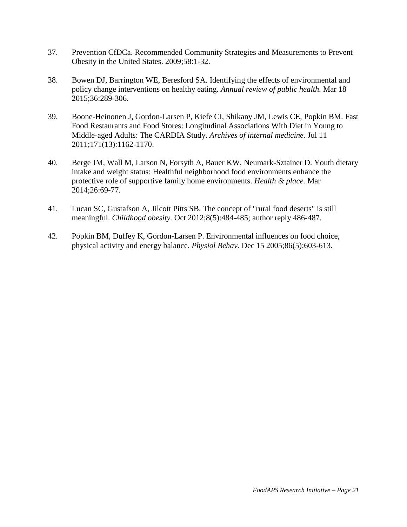- <span id="page-20-0"></span>37. Prevention CfDCa. Recommended Community Strategies and Measurements to Prevent Obesity in the United States. 2009;58:1-32.
- <span id="page-20-1"></span>38. Bowen DJ, Barrington WE, Beresford SA. Identifying the effects of environmental and policy change interventions on healthy eating. *Annual review of public health.* Mar 18 2015;36:289-306.
- <span id="page-20-2"></span>39. Boone-Heinonen J, Gordon-Larsen P, Kiefe CI, Shikany JM, Lewis CE, Popkin BM. Fast Food Restaurants and Food Stores: Longitudinal Associations With Diet in Young to Middle-aged Adults: The CARDIA Study. *Archives of internal medicine.* Jul 11 2011;171(13):1162-1170.
- <span id="page-20-3"></span>40. Berge JM, Wall M, Larson N, Forsyth A, Bauer KW, Neumark-Sztainer D. Youth dietary intake and weight status: Healthful neighborhood food environments enhance the protective role of supportive family home environments. *Health & place.* Mar 2014;26:69-77.
- <span id="page-20-4"></span>41. Lucan SC, Gustafson A, Jilcott Pitts SB. The concept of "rural food deserts" is still meaningful. *Childhood obesity.* Oct 2012;8(5):484-485; author reply 486-487.
- <span id="page-20-5"></span>42. Popkin BM, Duffey K, Gordon-Larsen P. Environmental influences on food choice, physical activity and energy balance. *Physiol Behav.* Dec 15 2005;86(5):603-613.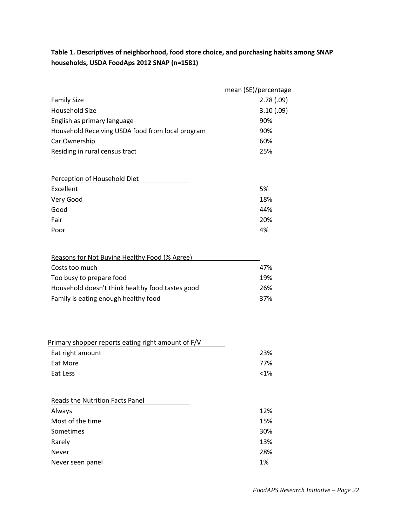# **Table 1. Descriptives of neighborhood, food store choice, and purchasing habits among SNAP households, USDA FoodAps 2012 SNAP (n=1581)**

|                                                  | mean (SE)/percentage |
|--------------------------------------------------|----------------------|
| <b>Family Size</b>                               | 2.78(.09)            |
| Household Size                                   | 3.10(0.09)           |
| English as primary language                      | 90%                  |
| Household Receiving USDA food from local program | 90%                  |
| Car Ownership                                    | 60%                  |
| Residing in rural census tract                   | 25%                  |

| Perception of Household Diet |     |
|------------------------------|-----|
| Excellent                    | 5%  |
| Very Good                    | 18% |
| Good                         | 44% |
| Fair                         | 20% |
| Poor                         | 4%  |

| Reasons for Not Buying Healthy Food (% Agree)    |     |
|--------------------------------------------------|-----|
| Costs too much                                   | 47% |
| Too busy to prepare food                         | 19% |
| Household doesn't think healthy food tastes good | 26% |
| Family is eating enough healthy food             | 37% |

| Primary shopper reports eating right amount of F/V |         |
|----------------------------------------------------|---------|
| Eat right amount                                   | 23%     |
| Eat More                                           | 77%     |
| Eat Less                                           | $< 1\%$ |
|                                                    |         |

| Reads the Nutrition Facts Panel |     |
|---------------------------------|-----|
| Always                          | 12% |
| Most of the time                | 15% |
| Sometimes                       | 30% |
| Rarely                          | 13% |
| <b>Never</b>                    | 28% |
| Never seen panel                | 1%  |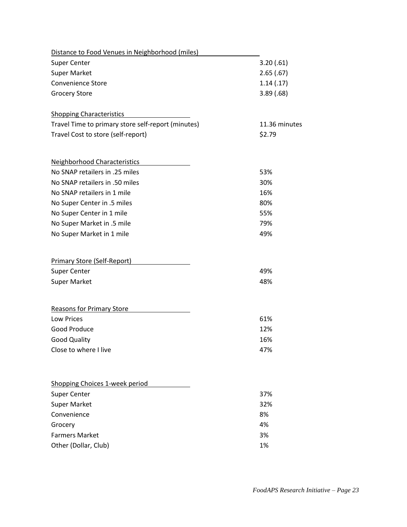| Distance to Food Venues in Neighborhood (miles)       |               |
|-------------------------------------------------------|---------------|
| <b>Super Center</b>                                   | 3.20(.61)     |
| <b>Super Market</b>                                   | 2.65(.67)     |
| <b>Convenience Store</b>                              | 1.14(0.17)    |
| <b>Grocery Store</b>                                  | 3.89(.68)     |
| <b>Shopping Characteristics</b>                       |               |
| Travel Time to primary store self-report (minutes)    | 11.36 minutes |
| Travel Cost to store (self-report)                    | \$2.79        |
| <b>Neighborhood Characteristics</b>                   |               |
| No SNAP retailers in .25 miles                        | 53%           |
| No SNAP retailers in .50 miles                        | 30%           |
| No SNAP retailers in 1 mile                           | 16%           |
| No Super Center in .5 miles                           | 80%           |
| No Super Center in 1 mile                             | 55%           |
| No Super Market in .5 mile                            | 79%           |
| No Super Market in 1 mile                             | 49%           |
| <b>Primary Store (Self-Report)</b>                    |               |
| <b>Super Center</b>                                   | 49%           |
| <b>Super Market</b>                                   | 48%           |
|                                                       |               |
| <b>Reasons for Primary Store</b>                      |               |
| Low Prices                                            | 61%           |
| Good Produce                                          | 12%           |
| <b>Good Quality</b>                                   | 16%           |
| Close to where I live                                 | 47%           |
|                                                       |               |
| Shopping Choices 1-week period<br><b>Super Center</b> | 37%           |
| <b>Super Market</b>                                   | 32%           |
| Convenience                                           | 8%            |
| Grocery                                               | 4%            |
| <b>Farmers Market</b>                                 | 3%            |
| Other (Dollar, Club)                                  | 1%            |
|                                                       |               |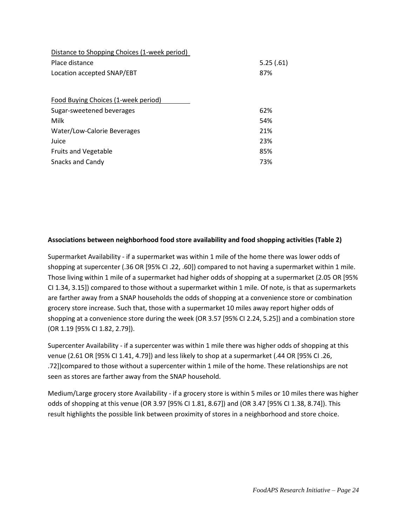| Distance to Shopping Choices (1-week period) |           |
|----------------------------------------------|-----------|
| Place distance                               | 5.25(.61) |
| Location accepted SNAP/EBT                   | 87%       |
|                                              |           |
| Food Buying Choices (1-week period)          |           |
| Sugar-sweetened beverages                    | 62%       |
| Milk                                         | 54%       |
| Water/Low-Calorie Beverages                  | 21%       |
| Juice                                        | 23%       |
| <b>Fruits and Vegetable</b>                  | 85%       |
| <b>Snacks and Candy</b>                      | 73%       |

# **Associations between neighborhood food store availability and food shopping activities (Table 2)**

Supermarket Availability - if a supermarket was within 1 mile of the home there was lower odds of shopping at supercenter (.36 OR [95% CI .22, .60]) compared to not having a supermarket within 1 mile. Those living within 1 mile of a supermarket had higher odds of shopping at a supermarket (2.05 OR [95% CI 1.34, 3.15]) compared to those without a supermarket within 1 mile. Of note, is that as supermarkets are farther away from a SNAP households the odds of shopping at a convenience store or combination grocery store increase. Such that, those with a supermarket 10 miles away report higher odds of shopping at a convenience store during the week (OR 3.57 [95% CI 2.24, 5.25]) and a combination store (OR 1.19 [95% CI 1.82, 2.79]).

Supercenter Availability - if a supercenter was within 1 mile there was higher odds of shopping at this venue (2.61 OR [95% CI 1.41, 4.79]) and less likely to shop at a supermarket (.44 OR [95% CI .26, .72])compared to those without a supercenter within 1 mile of the home. These relationships are not seen as stores are farther away from the SNAP household.

Medium/Large grocery store Availability - if a grocery store is within 5 miles or 10 miles there was higher odds of shopping at this venue (OR 3.97 [95% CI 1.81, 8.67]) and (OR 3.47 [95% CI 1.38, 8.74]). This result highlights the possible link between proximity of stores in a neighborhood and store choice.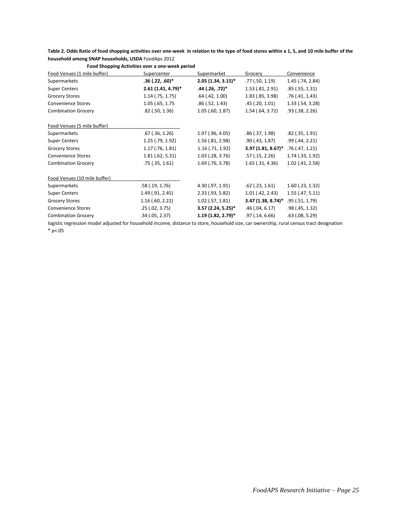**Table 2. Odds Ratio of food shopping activities over one-week in relation to the type of food stores within a 1, 5, and 10 mile buffer of the household among SNAP households, USDA** FoodAps 2012

| Food Venues (1 mile buffer)  | Supercenter           | Supermarket        | Grocery            | Convenience              |
|------------------------------|-----------------------|--------------------|--------------------|--------------------------|
| Supermarkets                 | $.36$ (.22, .60)*     | 2.05 (1.34, 3.15)* | .77 (.50, 1.19)    | 1.45 (.74, 2.84)         |
| <b>Super Centers</b>         | 2.61 (1.41, 4.79)*    | .44 (.26, .72)*    | $1.53$ (.81, 2.91) | .85(.55, 1.31)           |
| <b>Grocery Stores</b>        | $1.14$ (.75, 1.75)    | $.64$ (.42, 1.00)  | $1.83$ (.85, 3.98) | .76(.41, 1.43)           |
| <b>Convenience Stores</b>    | 1.05 (.65, 1.75)      | .86(.52, 1.43)     | .45 (.20, 1.01)    | $1.33$ (.54, 3.28)       |
| <b>Combination Grocery</b>   | $.82$ ( $.50, 1.36$ ) | $1.05$ (.60, 1.87) | $1.54$ (.64, 3.72) | $.93$ ( $.38$ , $2.26$ ) |
| Food Venues (5 mile buffer)  |                       |                    |                    |                          |
| Supermarkets                 | $.67$ $(.36, 1.26)$   | $1.97$ (.96, 4.05) | $.86$ (.37, 1.98)  | $.82$ ( $.35, 1.91$ )    |
| <b>Super Centers</b>         | $1.25$ (.79, 1.92)    | 1.56 (.81, 2.98)   | .90(0.43, 1.87)    | .99 (.44, 2.21)          |
| <b>Grocery Stores</b>        | $1.17$ (.76, 1.81)    | $1.16$ (.71, 1.92) | 3.97 (1.81, 8.67)* | .76(0.47, 1.21)          |
| <b>Convenience Stores</b>    | 1.81(0.62, 5.31)      | $1.03$ (.28, 3.76) | .57 (.15, 2.26)    | 1.74 (.33, 1.92)         |
| <b>Combination Grocery</b>   | $.75$ (.35, 1.61)     | $1.69$ (.76, 3.78) | $1.65$ (.31, 4.36) | 1.02 (.41, 2.58)         |
| Food Venues (10 mile buffer) |                       |                    |                    |                          |
| Supermarkets                 | .58(.19, 1.76)        | 4.30 (.97, 1.91)   | $.62$ (.23, 1.61)  | $1.60$ (.23, 1.32)       |
| <b>Super Centers</b>         | 1.49 (.91, 2.45)      | $2.33$ (.93, 5.82) | $1.01$ (.42, 2.43) | $1.55$ (.47, 5.11)       |
| <b>Grocery Stores</b>        | $1.16$ (.60, 2.22)    | $1.02$ (.57, 1.81) | 3.47 (1.38, 8.74)* | .95 (.51, 1.79)          |
| <b>Convenience Stores</b>    | .25(.02, 3.75)        | 3.57 (2.24, 5.25)* | .46(0.04, 6.17)    | .98 (.45, 1.32)          |
| <b>Combination Grocery</b>   | $.34$ (.05, 2.37)     | 1.19 (1.82, 2.79)* | .97(0.14, 6.66)    | $.63$ $(.08, 5.29)$      |
|                              |                       |                    |                    |                          |

**Food Shopping Activities over a one-week period**

logistic regression model adjusted for household income, distance to store, household size, car ownership, rural census tract designation  $*$  p<.05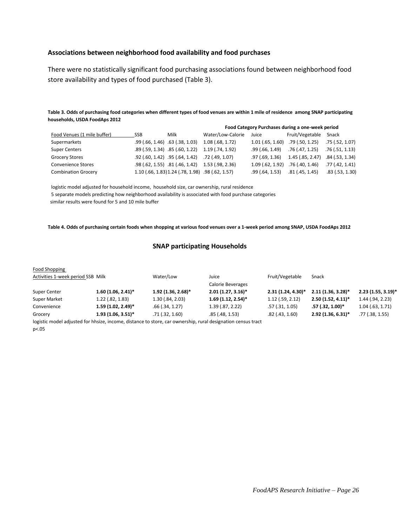#### **Associations between neighborhood food availability and food purchases**

There were no statistically significant food purchasing associations found between neighborhood food store availability and types of food purchased (Table 3).

**Table 3. Odds of purchasing food categories when different types of food venues are within 1 mile of residence among SNAP participating households, USDA FoodAps 2012**

| Food Category Purchases during a one-week period |      |                                                   |                                                  |                 |                                     |                 |
|--------------------------------------------------|------|---------------------------------------------------|--------------------------------------------------|-----------------|-------------------------------------|-----------------|
| Food Venues (1 mile buffer)                      | SSB. | Milk                                              | Water/Low-Calorie                                | Juice           | Fruit/Vegetable Snack               |                 |
| Supermarkets                                     |      | $.99(.66, 1.46)$ $.63(.38, 1.03)$                 | 1.08 (.68, 1.72)                                 |                 | $1.01$ (.65, 1.60) .79 (.50, 1.25)  | .75 (.52, 1.07) |
| <b>Super Centers</b>                             |      |                                                   | .89 (.59, 1.34) .85 (.60, 1.22) 1.19 (.74, 1.92) | .99 (.66. 1.49) | $.76$ (.47, 1.25) $.76$ (.51, 1.13) |                 |
| <b>Grocery Stores</b>                            |      | .92 (.60, 1.42) .95 (.64, 1.42) .72 (.49, 1.07)   |                                                  | .97 (.69, 1.36) | 1.45 (.85, 2.47) .84 (.53, 1.34)    |                 |
| <b>Convenience Stores</b>                        |      |                                                   | .98 (.62, 1.55) .81 (.46, 1.42) 1.53 (.98, 2.36) |                 | $1.09$ (.62, 1.92) .76 (.40, 1.46)  | .77 (.42, 1.41) |
| <b>Combination Grocery</b>                       |      | 1.10 (.66, 1.83) 1.24 (.78, 1.98) .98 (.62, 1.57) |                                                  | .99 (.64, 1.53) | .81 (.45, 1.45)                     | .83 (.53, 1.30) |

logistic model adjusted for household income, household size, car ownership, rural residence 5 separate models predicting how neighborhood availability is associated with food purchase categories

similar results were found for 5 and 10 mile buffer

#### **Table 4. Odds of purchasing certain foods when shopping at various food venues over a 1-week period among SNAP, USDA FoodAps 2012**

#### **SNAP participating Households**

| Food Shopping                                                                                                |                      |                      |                      |                      |                      |                      |
|--------------------------------------------------------------------------------------------------------------|----------------------|----------------------|----------------------|----------------------|----------------------|----------------------|
| Activities 1-week period SSB Milk                                                                            |                      | Water/Low            | Juice                | Fruit/Vegetable      | Snack                |                      |
|                                                                                                              |                      |                      | Calorie Beverages    |                      |                      |                      |
| Super Center                                                                                                 | $1.60(1.06, 2.41)^*$ | $1.92$ (1.36, 2.68)* | $2.01(1.27, 3.16)^*$ | $2.31(1.24, 4.30)^*$ | 2.11 (1.36, 3.28)*   | $2.23(1.55, 3.19)$ * |
| Super Market                                                                                                 | $1.22$ (.82, 1.83)   | $1.30$ (.84, 2.03)   | $1.69(1.12, 2.54)^*$ | $1.12$ (.59, 2.12)   | 2.50 (1.52, 4.11)*   | 1.44 (.94, 2.23)     |
| Convenience                                                                                                  | 1.59 (1.02, 2.49)*   | $.66$ $(.34, 1.27)$  | $1.39$ (.87, 2.22)   | $.57$ $(.31, 1.05)$  | $.57$ (.32, 1.00)*   | $1.04$ (.63, 1.71)   |
| Grocery                                                                                                      | $1.93(1.06, 3.51)^*$ | .71(0.32, 1.60)      | .85(0.48, 1.53)      | $.82$ (.43, 1.60)    | $2.92$ (1.36, 6.31)* | $.77$ (.38, 1.55)    |
| logistic model adjusted for hhsize, income, distance to store, car ownership, rural designation census tract |                      |                      |                      |                      |                      |                      |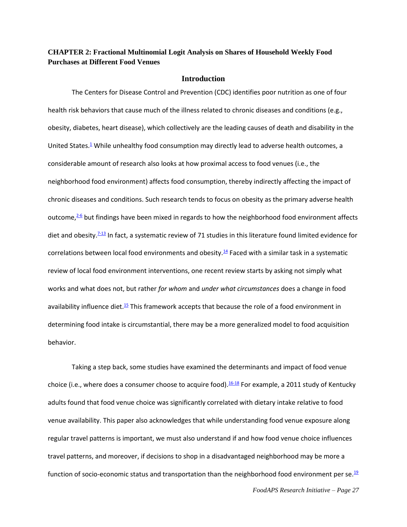# **CHAPTER 2: Fractional Multinomial Logit Analysis on Shares of Household Weekly Food Purchases at Different Food Venues**

# **Introduction**

The Centers for Disease Control and Prevention (CDC) identifies poor nutrition as one of four health risk behaviors that cause much of the illness related to chronic diseases and conditions (e.g., obesity, diabetes, heart disease), which collectively are the leading causes of death and disability in the United States.<sup>[1](file:///C:/Users/AEC%20Guest/Dropbox%20(CEDIK)/FoodAPS%20Manuscript/FoodAPS_GrantFinal.docx%23_ENREF_1)</sup> While unhealthy food consumption may directly lead to adverse health outcomes, a considerable amount of research also looks at how proximal access to food venues (i.e., the neighborhood food environment) affects food consumption, thereby indirectly affecting the impact of chronic diseases and conditions. Such research tends to focus on obesity as the primary adverse health outcome, $2-6$  but findings have been mixed in regards to how the neighborhood food environment affects diet and obesity.[7-13](file:///C:/Users/AEC%20Guest/Dropbox%20(CEDIK)/FoodAPS%20Manuscript/FoodAPS_GrantFinal.docx%23_ENREF_7) In fact, a systematic review of 71 studies in this literature found limited evidence for correlations between local food environments and obesity. $\frac{14}{1}$  $\frac{14}{1}$  $\frac{14}{1}$  Faced with a similar task in a systematic review of local food environment interventions, one recent review starts by asking not simply what works and what does not, but rather *for whom* and *under what circumstances* does a change in food availability influence diet.<sup>[15](file:///C:/Users/AEC%20Guest/Dropbox%20(CEDIK)/FoodAPS%20Manuscript/FoodAPS_GrantFinal.docx%23_ENREF_15)</sup> This framework accepts that because the role of a food environment in determining food intake is circumstantial, there may be a more generalized model to food acquisition behavior.

Taking a step back, some studies have examined the determinants and impact of food venue choice (i.e., where does a consumer choose to acquire food).  $16-18$  For example, a 2011 study of Kentucky adults found that food venue choice was significantly correlated with dietary intake relative to food venue availability. This paper also acknowledges that while understanding food venue exposure along regular travel patterns is important, we must also understand if and how food venue choice influences travel patterns, and moreover, if decisions to shop in a disadvantaged neighborhood may be more a function of socio-economic status and transportation than the neighborhood food environment per se.<sup>[19](file:///C:/Users/AEC%20Guest/Dropbox%20(CEDIK)/FoodAPS%20Manuscript/FoodAPS_GrantFinal.docx%23_ENREF_19)</sup>

*FoodAPS Research Initiative – Page 27*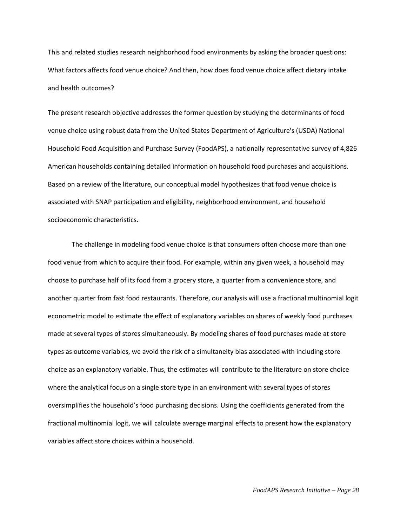This and related studies research neighborhood food environments by asking the broader questions: What factors affects food venue choice? And then, how does food venue choice affect dietary intake and health outcomes?

The present research objective addresses the former question by studying the determinants of food venue choice using robust data from the United States Department of Agriculture's (USDA) National Household Food Acquisition and Purchase Survey (FoodAPS), a nationally representative survey of 4,826 American households containing detailed information on household food purchases and acquisitions. Based on a review of the literature, our conceptual model hypothesizes that food venue choice is associated with SNAP participation and eligibility, neighborhood environment, and household socioeconomic characteristics.

The challenge in modeling food venue choice is that consumers often choose more than one food venue from which to acquire their food. For example, within any given week, a household may choose to purchase half of its food from a grocery store, a quarter from a convenience store, and another quarter from fast food restaurants. Therefore, our analysis will use a fractional multinomial logit econometric model to estimate the effect of explanatory variables on shares of weekly food purchases made at several types of stores simultaneously. By modeling shares of food purchases made at store types as outcome variables, we avoid the risk of a simultaneity bias associated with including store choice as an explanatory variable. Thus, the estimates will contribute to the literature on store choice where the analytical focus on a single store type in an environment with several types of stores oversimplifies the household's food purchasing decisions. Using the coefficients generated from the fractional multinomial logit, we will calculate average marginal effects to present how the explanatory variables affect store choices within a household.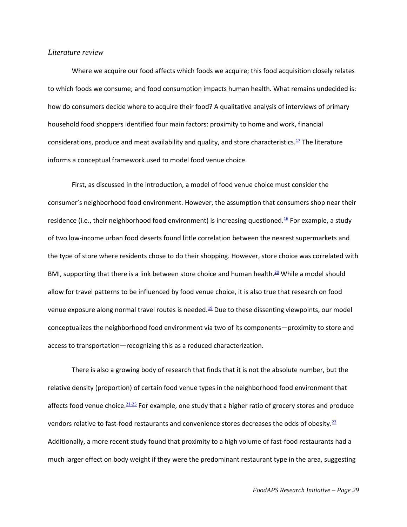#### *Literature review*

Where we acquire our food affects which foods we acquire; this food acquisition closely relates to which foods we consume; and food consumption impacts human health. What remains undecided is: how do consumers decide where to acquire their food? A qualitative analysis of interviews of primary household food shoppers identified four main factors: proximity to home and work, financial considerations, produce and meat availability and quality, and store characteristics.<sup>[17](file:///C:/Users/AEC%20Guest/Dropbox%20(CEDIK)/FoodAPS%20Manuscript/FoodAPS_GrantFinal.docx%23_ENREF_17)</sup> The literature informs a conceptual framework used to model food venue choice.

First, as discussed in the introduction, a model of food venue choice must consider the consumer's neighborhood food environment. However, the assumption that consumers shop near their residence (i.e., their neighborhood food environment) is increasing questioned.<sup>[16](file:///C:/Users/AEC%20Guest/Dropbox%20(CEDIK)/FoodAPS%20Manuscript/FoodAPS_GrantFinal.docx%23_ENREF_16)</sup> For example, a study of two low-income urban food deserts found little correlation between the nearest supermarkets and the type of store where residents chose to do their shopping. However, store choice was correlated with BMI, supporting that there is a link between store choice and human health.<sup>[20](file:///C:/Users/AEC%20Guest/Dropbox%20(CEDIK)/FoodAPS%20Manuscript/FoodAPS_GrantFinal.docx%23_ENREF_20)</sup> While a model should allow for travel patterns to be influenced by food venue choice, it is also true that research on food venue exposure along normal travel routes is needed.<sup>[19](file:///C:/Users/AEC%20Guest/Dropbox%20(CEDIK)/FoodAPS%20Manuscript/FoodAPS_GrantFinal.docx%23_ENREF_19)</sup> Due to these dissenting viewpoints, our model conceptualizes the neighborhood food environment via two of its components—proximity to store and access to transportation—recognizing this as a reduced characterization.

There is also a growing body of research that finds that it is not the absolute number, but the relative density (proportion) of certain food venue types in the neighborhood food environment that affects food venue choice. $21-25$  For example, one study that a higher ratio of grocery stores and produce vendors relative to fast-food restaurants and convenience stores decreases the odds of obesity. $22$ Additionally, a more recent study found that proximity to a high volume of fast-food restaurants had a much larger effect on body weight if they were the predominant restaurant type in the area, suggesting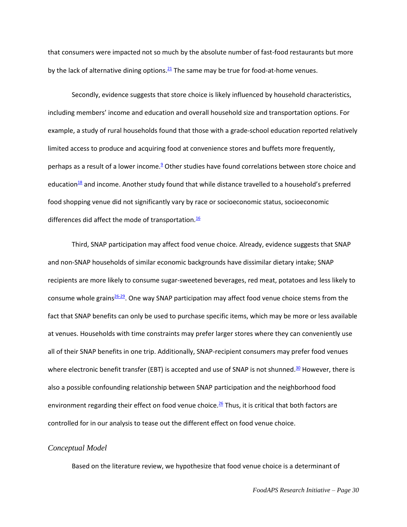that consumers were impacted not so much by the absolute number of fast-food restaurants but more by the lack of alternative dining options. $^{21}$  $^{21}$  $^{21}$  The same may be true for food-at-home venues.

Secondly, evidence suggests that store choice is likely influenced by household characteristics, including members' income and education and overall household size and transportation options. For example, a study of rural households found that those with a grade-school education reported relatively limited access to produce and acquiring food at convenience stores and buffets more frequently, perhaps as a result of a lower income. $9$  Other studies have found correlations between store choice and education $18$  and income. Another study found that while distance travelled to a household's preferred food shopping venue did not significantly vary by race or socioeconomic status, socioeconomic differences did affect the mode of transportation. $\frac{16}{16}$  $\frac{16}{16}$  $\frac{16}{16}$ 

Third, SNAP participation may affect food venue choice. Already, evidence suggests that SNAP and non-SNAP households of similar economic backgrounds have dissimilar dietary intake; SNAP recipients are more likely to consume sugar-sweetened beverages, red meat, potatoes and less likely to consume whole grains $\frac{26-29}{2}$  $\frac{26-29}{2}$  $\frac{26-29}{2}$ . One way SNAP participation may affect food venue choice stems from the fact that SNAP benefits can only be used to purchase specific items, which may be more or less available at venues. Households with time constraints may prefer larger stores where they can conveniently use all of their SNAP benefits in one trip. Additionally, SNAP-recipient consumers may prefer food venues where electronic benefit transfer (EBT) is accepted and use of SNAP is not shunned.<sup>[30](file:///C:/Users/AEC%20Guest/Dropbox%20(CEDIK)/FoodAPS%20Manuscript/FoodAPS_GrantFinal.docx%23_ENREF_30)</sup> However, there is also a possible confounding relationship between SNAP participation and the neighborhood food environment regarding their effect on food venue choice.<sup>[26](file:///C:/Users/AEC%20Guest/Dropbox%20(CEDIK)/FoodAPS%20Manuscript/FoodAPS_GrantFinal.docx%23_ENREF_26)</sup> Thus, it is critical that both factors are controlled for in our analysis to tease out the different effect on food venue choice.

# *Conceptual Model*

Based on the literature review, we hypothesize that food venue choice is a determinant of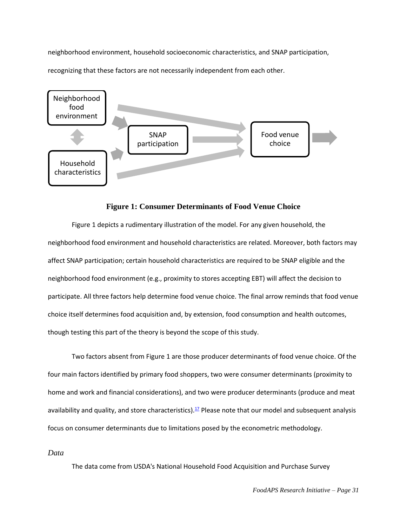neighborhood environment, household socioeconomic characteristics, and SNAP participation,

recognizing that these factors are not necessarily independent from each other.



# **Figure 1: Consumer Determinants of Food Venue Choice**

Figure 1 depicts a rudimentary illustration of the model. For any given household, the neighborhood food environment and household characteristics are related. Moreover, both factors may affect SNAP participation; certain household characteristics are required to be SNAP eligible and the neighborhood food environment (e.g., proximity to stores accepting EBT) will affect the decision to participate. All three factors help determine food venue choice. The final arrow reminds that food venue choice itself determines food acquisition and, by extension, food consumption and health outcomes, though testing this part of the theory is beyond the scope of this study.

Two factors absent from Figure 1 are those producer determinants of food venue choice. Of the four main factors identified by primary food shoppers, two were consumer determinants (proximity to home and work and financial considerations), and two were producer determinants (produce and meat availability and quality, and store characteristics).<sup>[17](file:///C:/Users/AEC%20Guest/Dropbox%20(CEDIK)/FoodAPS%20Manuscript/FoodAPS_GrantFinal.docx%23_ENREF_17)</sup> Please note that our model and subsequent analysis focus on consumer determinants due to limitations posed by the econometric methodology.

*Data*

The data come from USDA's National Household Food Acquisition and Purchase Survey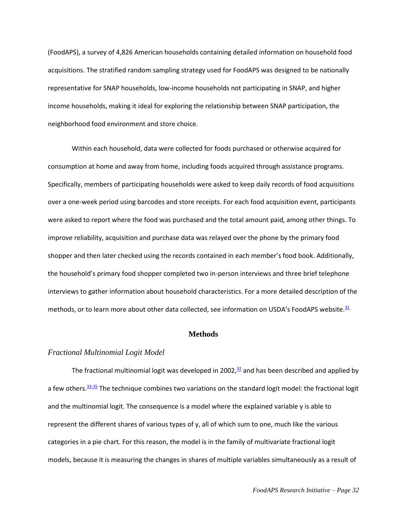(FoodAPS), a survey of 4,826 American households containing detailed information on household food acquisitions. The stratified random sampling strategy used for FoodAPS was designed to be nationally representative for SNAP households, low-income households not participating in SNAP, and higher income households, making it ideal for exploring the relationship between SNAP participation, the neighborhood food environment and store choice.

Within each household, data were collected for foods purchased or otherwise acquired for consumption at home and away from home, including foods acquired through assistance programs. Specifically, members of participating households were asked to keep daily records of food acquisitions over a one-week period using barcodes and store receipts. For each food acquisition event, participants were asked to report where the food was purchased and the total amount paid, among other things. To improve reliability, acquisition and purchase data was relayed over the phone by the primary food shopper and then later checked using the records contained in each member's food book. Additionally, the household's primary food shopper completed two in-person interviews and three brief telephone interviews to gather information about household characteristics. For a more detailed description of the methods, or to learn more about other data collected, see information on USDA's FoodAPS website.<sup>[31](file:///C:/Users/AEC%20Guest/Dropbox%20(CEDIK)/FoodAPS%20Manuscript/FoodAPS_GrantFinal.docx%23_ENREF_31)</sup>

#### **Methods**

### *Fractional Multinomial Logit Model*

The fractional multinomial logit was developed in 2002, $\frac{32}{2}$  $\frac{32}{2}$  $\frac{32}{2}$  and has been described and applied by a few others.<sup>[33-35](file:///C:/Users/AEC%20Guest/Dropbox%20(CEDIK)/FoodAPS%20Manuscript/FoodAPS_GrantFinal.docx%23_ENREF_33)</sup> The technique combines two variations on the standard logit model: the fractional logit and the multinomial logit. The consequence is a model where the explained variable y is able to represent the different shares of various types of y, all of which sum to one, much like the various categories in a pie chart. For this reason, the model is in the family of multivariate fractional logit models, because it is measuring the changes in shares of multiple variables simultaneously as a result of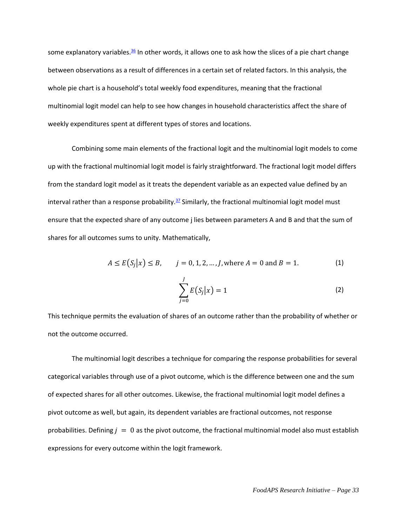some explanatory variables. $36$  In other words, it allows one to ask how the slices of a pie chart change between observations as a result of differences in a certain set of related factors. In this analysis, the whole pie chart is a household's total weekly food expenditures, meaning that the fractional multinomial logit model can help to see how changes in household characteristics affect the share of weekly expenditures spent at different types of stores and locations.

Combining some main elements of the fractional logit and the multinomial logit models to come up with the fractional multinomial logit model is fairly straightforward. The fractional logit model differs from the standard logit model as it treats the dependent variable as an expected value defined by an interval rather than a response probability. $37$  Similarly, the fractional multinomial logit model must ensure that the expected share of any outcome j lies between parameters A and B and that the sum of shares for all outcomes sums to unity. Mathematically,

$$
A \le E(S_j|x) \le B, \qquad j = 0, 1, 2, ..., J, \text{ where } A = 0 \text{ and } B = 1. \tag{1}
$$

$$
\sum_{j=0}^{J} E(S_j|x) = 1
$$
 (2)

This technique permits the evaluation of shares of an outcome rather than the probability of whether or not the outcome occurred.

The multinomial logit describes a technique for comparing the response probabilities for several categorical variables through use of a pivot outcome, which is the difference between one and the sum of expected shares for all other outcomes. Likewise, the fractional multinomial logit model defines a pivot outcome as well, but again, its dependent variables are fractional outcomes, not response probabilities. Defining  $j = 0$  as the pivot outcome, the fractional multinomial model also must establish expressions for every outcome within the logit framework.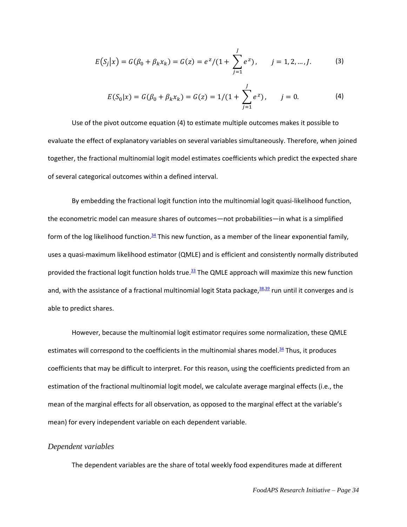$$
E(S_j|x) = G(\beta_0 + \beta_k x_k) = G(z) = e^z/(1 + \sum_{j=1}^J e^z), \qquad j = 1, 2, ..., J.
$$
 (3)

$$
E(S_0|x) = G(\beta_0 + \beta_k x_k) = G(z) = 1/(1 + \sum_{j=1}^J e^{z}), \qquad j = 0.
$$
 (4)

Use of the pivot outcome equation (4) to estimate multiple outcomes makes it possible to evaluate the effect of explanatory variables on several variables simultaneously. Therefore, when joined together, the fractional multinomial logit model estimates coefficients which predict the expected share of several categorical outcomes within a defined interval.

By embedding the fractional logit function into the multinomial logit quasi-likelihood function, the econometric model can measure shares of outcomes—not probabilities—in what is a simplified form of the log likelihood function. $34$  This new function, as a member of the linear exponential family, uses a quasi-maximum likelihood estimator (QMLE) and is efficient and consistently normally distributed provided the fractional logit function holds true.<sup>[33](file:///C:/Users/AEC%20Guest/Dropbox%20(CEDIK)/FoodAPS%20Manuscript/FoodAPS_GrantFinal.docx%23_ENREF_33)</sup> The QMLE approach will maximize this new function and, with the assistance of a fractional multinomial logit Stata package,  $\frac{38,39}{2}$  $\frac{38,39}{2}$  $\frac{38,39}{2}$  $\frac{38,39}{2}$  run until it converges and is able to predict shares.

However, because the multinomial logit estimator requires some normalization, these QMLE estimates will correspond to the coefficients in the multinomial shares model. $34$  Thus, it produces coefficients that may be difficult to interpret. For this reason, using the coefficients predicted from an estimation of the fractional multinomial logit model, we calculate average marginal effects (i.e., the mean of the marginal effects for all observation, as opposed to the marginal effect at the variable's mean) for every independent variable on each dependent variable.

# *Dependent variables*

The dependent variables are the share of total weekly food expenditures made at different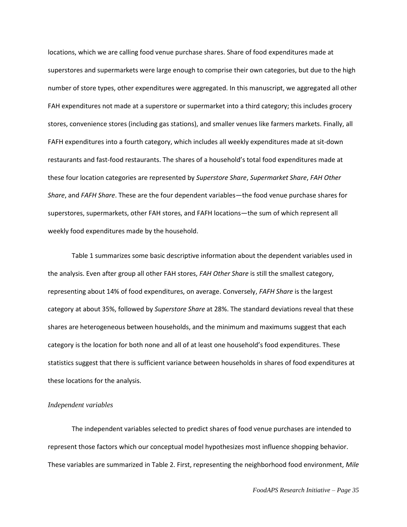locations, which we are calling food venue purchase shares. Share of food expenditures made at superstores and supermarkets were large enough to comprise their own categories, but due to the high number of store types, other expenditures were aggregated. In this manuscript, we aggregated all other FAH expenditures not made at a superstore or supermarket into a third category; this includes grocery stores, convenience stores (including gas stations), and smaller venues like farmers markets. Finally, all FAFH expenditures into a fourth category, which includes all weekly expenditures made at sit-down restaurants and fast-food restaurants. The shares of a household's total food expenditures made at these four location categories are represented by *Superstore Share*, *Supermarket Share*, *FAH Other Share*, and *FAFH Share*. These are the four dependent variables—the food venue purchase shares for superstores, supermarkets, other FAH stores, and FAFH locations—the sum of which represent all weekly food expenditures made by the household.

Table 1 summarizes some basic descriptive information about the dependent variables used in the analysis. Even after group all other FAH stores, *FAH Other Share* is still the smallest category, representing about 14% of food expenditures, on average. Conversely, *FAFH Share* is the largest category at about 35%, followed by *Superstore Share* at 28%. The standard deviations reveal that these shares are heterogeneous between households, and the minimum and maximums suggest that each category is the location for both none and all of at least one household's food expenditures. These statistics suggest that there is sufficient variance between households in shares of food expenditures at these locations for the analysis.

#### *Independent variables*

The independent variables selected to predict shares of food venue purchases are intended to represent those factors which our conceptual model hypothesizes most influence shopping behavior. These variables are summarized in Table 2. First, representing the neighborhood food environment, *Mile*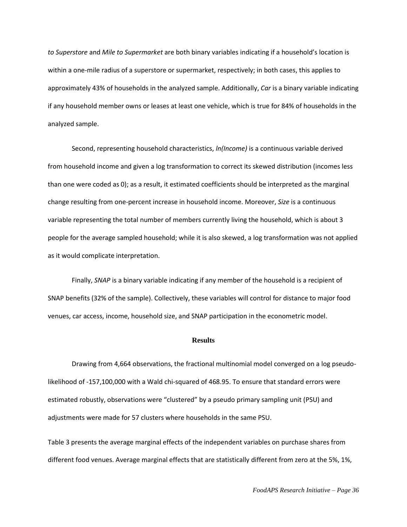*to Superstore* and *Mile to Supermarket* are both binary variables indicating if a household's location is within a one-mile radius of a superstore or supermarket, respectively; in both cases, this applies to approximately 43% of households in the analyzed sample. Additionally, *Car* is a binary variable indicating if any household member owns or leases at least one vehicle, which is true for 84% of households in the analyzed sample.

Second, representing household characteristics, *ln(Income)* is a continuous variable derived from household income and given a log transformation to correct its skewed distribution (incomes less than one were coded as 0); as a result, it estimated coefficients should be interpreted as the marginal change resulting from one-percent increase in household income. Moreover, *Size* is a continuous variable representing the total number of members currently living the household, which is about 3 people for the average sampled household; while it is also skewed, a log transformation was not applied as it would complicate interpretation.

Finally, *SNAP* is a binary variable indicating if any member of the household is a recipient of SNAP benefits (32% of the sample). Collectively, these variables will control for distance to major food venues, car access, income, household size, and SNAP participation in the econometric model.

#### **Results**

Drawing from 4,664 observations, the fractional multinomial model converged on a log pseudolikelihood of -157,100,000 with a Wald chi-squared of 468.95. To ensure that standard errors were estimated robustly, observations were "clustered" by a pseudo primary sampling unit (PSU) and adjustments were made for 57 clusters where households in the same PSU.

Table 3 presents the average marginal effects of the independent variables on purchase shares from different food venues. Average marginal effects that are statistically different from zero at the 5%, 1%,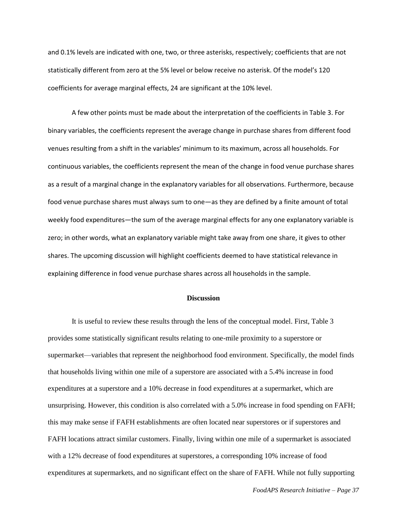and 0.1% levels are indicated with one, two, or three asterisks, respectively; coefficients that are not statistically different from zero at the 5% level or below receive no asterisk. Of the model's 120 coefficients for average marginal effects, 24 are significant at the 10% level.

A few other points must be made about the interpretation of the coefficients in Table 3. For binary variables, the coefficients represent the average change in purchase shares from different food venues resulting from a shift in the variables' minimum to its maximum, across all households. For continuous variables, the coefficients represent the mean of the change in food venue purchase shares as a result of a marginal change in the explanatory variables for all observations. Furthermore, because food venue purchase shares must always sum to one—as they are defined by a finite amount of total weekly food expenditures—the sum of the average marginal effects for any one explanatory variable is zero; in other words, what an explanatory variable might take away from one share, it gives to other shares. The upcoming discussion will highlight coefficients deemed to have statistical relevance in explaining difference in food venue purchase shares across all households in the sample.

#### **Discussion**

It is useful to review these results through the lens of the conceptual model. First, Table 3 provides some statistically significant results relating to one-mile proximity to a superstore or supermarket—variables that represent the neighborhood food environment. Specifically, the model finds that households living within one mile of a superstore are associated with a 5.4% increase in food expenditures at a superstore and a 10% decrease in food expenditures at a supermarket, which are unsurprising. However, this condition is also correlated with a 5.0% increase in food spending on FAFH; this may make sense if FAFH establishments are often located near superstores or if superstores and FAFH locations attract similar customers. Finally, living within one mile of a supermarket is associated with a 12% decrease of food expenditures at superstores, a corresponding 10% increase of food expenditures at supermarkets, and no significant effect on the share of FAFH. While not fully supporting

*FoodAPS Research Initiative – Page 37*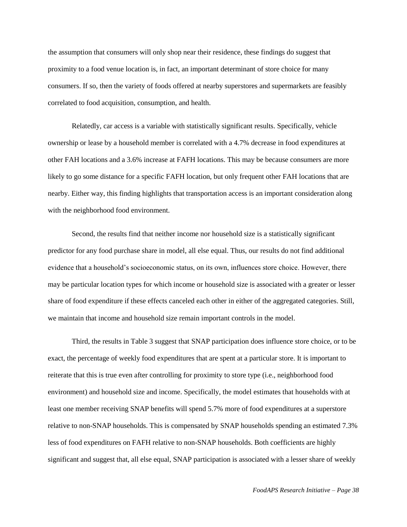the assumption that consumers will only shop near their residence, these findings do suggest that proximity to a food venue location is, in fact, an important determinant of store choice for many consumers. If so, then the variety of foods offered at nearby superstores and supermarkets are feasibly correlated to food acquisition, consumption, and health.

Relatedly, car access is a variable with statistically significant results. Specifically, vehicle ownership or lease by a household member is correlated with a 4.7% decrease in food expenditures at other FAH locations and a 3.6% increase at FAFH locations. This may be because consumers are more likely to go some distance for a specific FAFH location, but only frequent other FAH locations that are nearby. Either way, this finding highlights that transportation access is an important consideration along with the neighborhood food environment.

Second, the results find that neither income nor household size is a statistically significant predictor for any food purchase share in model, all else equal. Thus, our results do not find additional evidence that a household's socioeconomic status, on its own, influences store choice. However, there may be particular location types for which income or household size is associated with a greater or lesser share of food expenditure if these effects canceled each other in either of the aggregated categories. Still, we maintain that income and household size remain important controls in the model.

Third, the results in Table 3 suggest that SNAP participation does influence store choice, or to be exact, the percentage of weekly food expenditures that are spent at a particular store. It is important to reiterate that this is true even after controlling for proximity to store type (i.e., neighborhood food environment) and household size and income. Specifically, the model estimates that households with at least one member receiving SNAP benefits will spend 5.7% more of food expenditures at a superstore relative to non-SNAP households. This is compensated by SNAP households spending an estimated 7.3% less of food expenditures on FAFH relative to non-SNAP households. Both coefficients are highly significant and suggest that, all else equal, SNAP participation is associated with a lesser share of weekly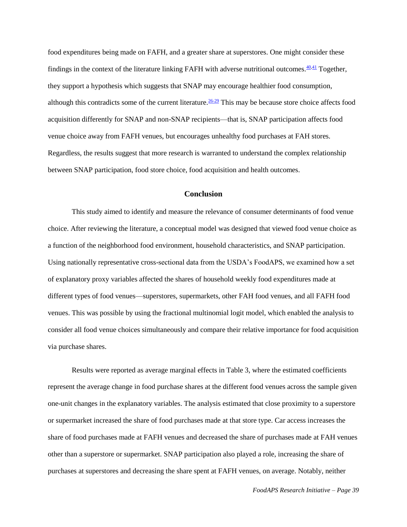food expenditures being made on FAFH, and a greater share at superstores. One might consider these findings in the context of the literature linking FAFH with adverse nutritional outcomes. $\frac{40,41}{4}$  $\frac{40,41}{4}$  $\frac{40,41}{4}$  $\frac{40,41}{4}$  Together, they support a hypothesis which suggests that SNAP may encourage healthier food consumption, although this contradicts some of the current literature.  $26-29$  This may be because store choice affects food acquisition differently for SNAP and non-SNAP recipients—that is, SNAP participation affects food venue choice away from FAFH venues, but encourages unhealthy food purchases at FAH stores. Regardless, the results suggest that more research is warranted to understand the complex relationship between SNAP participation, food store choice, food acquisition and health outcomes.

# **Conclusion**

This study aimed to identify and measure the relevance of consumer determinants of food venue choice. After reviewing the literature, a conceptual model was designed that viewed food venue choice as a function of the neighborhood food environment, household characteristics, and SNAP participation. Using nationally representative cross-sectional data from the USDA's FoodAPS, we examined how a set of explanatory proxy variables affected the shares of household weekly food expenditures made at different types of food venues—superstores, supermarkets, other FAH food venues, and all FAFH food venues. This was possible by using the fractional multinomial logit model, which enabled the analysis to consider all food venue choices simultaneously and compare their relative importance for food acquisition via purchase shares.

Results were reported as average marginal effects in Table 3, where the estimated coefficients represent the average change in food purchase shares at the different food venues across the sample given one-unit changes in the explanatory variables. The analysis estimated that close proximity to a superstore or supermarket increased the share of food purchases made at that store type. Car access increases the share of food purchases made at FAFH venues and decreased the share of purchases made at FAH venues other than a superstore or supermarket. SNAP participation also played a role, increasing the share of purchases at superstores and decreasing the share spent at FAFH venues, on average. Notably, neither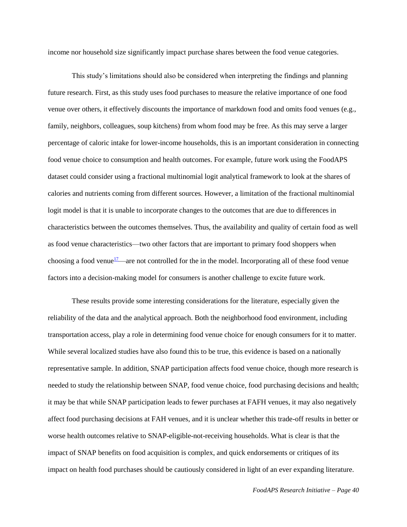income nor household size significantly impact purchase shares between the food venue categories.

This study's limitations should also be considered when interpreting the findings and planning future research. First, as this study uses food purchases to measure the relative importance of one food venue over others, it effectively discounts the importance of markdown food and omits food venues (e.g., family, neighbors, colleagues, soup kitchens) from whom food may be free. As this may serve a larger percentage of caloric intake for lower-income households, this is an important consideration in connecting food venue choice to consumption and health outcomes. For example, future work using the FoodAPS dataset could consider using a fractional multinomial logit analytical framework to look at the shares of calories and nutrients coming from different sources. However, a limitation of the fractional multinomial logit model is that it is unable to incorporate changes to the outcomes that are due to differences in characteristics between the outcomes themselves. Thus, the availability and quality of certain food as well as food venue characteristics—two other factors that are important to primary food shoppers when choosing a food venue<sup>[17](file:///C:/Users/AEC%20Guest/Dropbox%20(CEDIK)/FoodAPS%20Manuscript/FoodAPS_GrantFinal.docx%23_ENREF_17)</sup>—are not controlled for the in the model. Incorporating all of these food venue factors into a decision-making model for consumers is another challenge to excite future work.

These results provide some interesting considerations for the literature, especially given the reliability of the data and the analytical approach. Both the neighborhood food environment, including transportation access, play a role in determining food venue choice for enough consumers for it to matter. While several localized studies have also found this to be true, this evidence is based on a nationally representative sample. In addition, SNAP participation affects food venue choice, though more research is needed to study the relationship between SNAP, food venue choice, food purchasing decisions and health; it may be that while SNAP participation leads to fewer purchases at FAFH venues, it may also negatively affect food purchasing decisions at FAH venues, and it is unclear whether this trade-off results in better or worse health outcomes relative to SNAP-eligible-not-receiving households. What is clear is that the impact of SNAP benefits on food acquisition is complex, and quick endorsements or critiques of its impact on health food purchases should be cautiously considered in light of an ever expanding literature.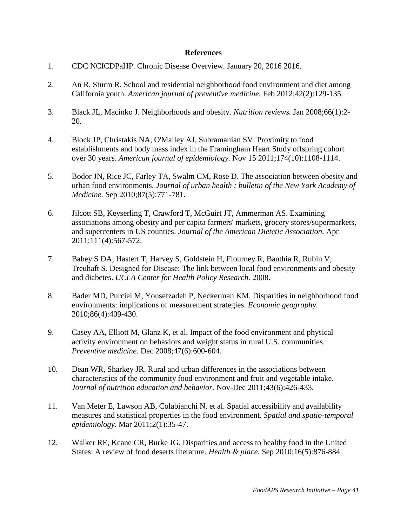# **References**

- 1. CDC NCfCDPaHP. Chronic Disease Overview. January 20, 2016 2016.
- 2. An R, Sturm R. School and residential neighborhood food environment and diet among California youth. *American journal of preventive medicine.* Feb 2012;42(2):129-135.
- 3. Black JL, Macinko J. Neighborhoods and obesity. *Nutrition reviews.* Jan 2008;66(1):2- 20.
- 4. Block JP, Christakis NA, O'Malley AJ, Subramanian SV. Proximity to food establishments and body mass index in the Framingham Heart Study offspring cohort over 30 years. *American journal of epidemiology.* Nov 15 2011;174(10):1108-1114.
- 5. Bodor JN, Rice JC, Farley TA, Swalm CM, Rose D. The association between obesity and urban food environments. *Journal of urban health : bulletin of the New York Academy of Medicine.* Sep 2010;87(5):771-781.
- 6. Jilcott SB, Keyserling T, Crawford T, McGuirt JT, Ammerman AS. Examining associations among obesity and per capita farmers' markets, grocery stores/supermarkets, and supercenters in US counties. *Journal of the American Dietetic Association.* Apr 2011;111(4):567-572.
- 7. Babey S DA, Hastert T, Harvey S, Goldstein H, Flourney R, Banthia R, Rubin V, Treuhaft S. Designed for Disease: The link between local food environments and obesity and diabetes. *UCLA Center for Health Policy Research.* 2008.
- 8. Bader MD, Purciel M, Yousefzadeh P, Neckerman KM. Disparities in neighborhood food environments: implications of measurement strategies. *Economic geography.*  2010;86(4):409-430.
- 9. Casey AA, Elliott M, Glanz K, et al. Impact of the food environment and physical activity environment on behaviors and weight status in rural U.S. communities. *Preventive medicine.* Dec 2008;47(6):600-604.
- 10. Dean WR, Sharkey JR. Rural and urban differences in the associations between characteristics of the community food environment and fruit and vegetable intake. *Journal of nutrition education and behavior.* Nov-Dec 2011;43(6):426-433.
- 11. Van Meter E, Lawson AB, Colabianchi N, et al. Spatial accessibility and availability measures and statistical properties in the food environment. *Spatial and spatio-temporal epidemiology.* Mar 2011;2(1):35-47.
- 12. Walker RE, Keane CR, Burke JG. Disparities and access to healthy food in the United States: A review of food deserts literature. *Health & place.* Sep 2010;16(5):876-884.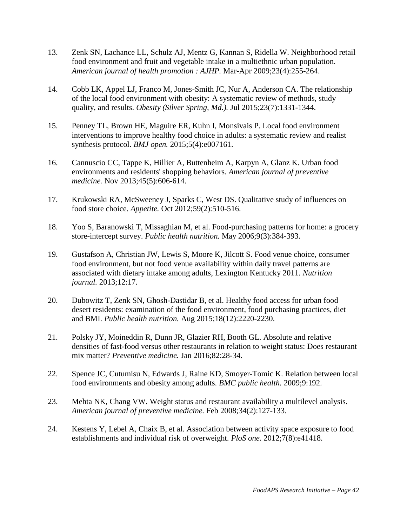- 13. Zenk SN, Lachance LL, Schulz AJ, Mentz G, Kannan S, Ridella W. Neighborhood retail food environment and fruit and vegetable intake in a multiethnic urban population. *American journal of health promotion : AJHP.* Mar-Apr 2009;23(4):255-264.
- 14. Cobb LK, Appel LJ, Franco M, Jones-Smith JC, Nur A, Anderson CA. The relationship of the local food environment with obesity: A systematic review of methods, study quality, and results. *Obesity (Silver Spring, Md.).* Jul 2015;23(7):1331-1344.
- 15. Penney TL, Brown HE, Maguire ER, Kuhn I, Monsivais P. Local food environment interventions to improve healthy food choice in adults: a systematic review and realist synthesis protocol. *BMJ open.* 2015;5(4):e007161.
- 16. Cannuscio CC, Tappe K, Hillier A, Buttenheim A, Karpyn A, Glanz K. Urban food environments and residents' shopping behaviors. *American journal of preventive medicine.* Nov 2013;45(5):606-614.
- 17. Krukowski RA, McSweeney J, Sparks C, West DS. Qualitative study of influences on food store choice. *Appetite.* Oct 2012;59(2):510-516.
- 18. Yoo S, Baranowski T, Missaghian M, et al. Food-purchasing patterns for home: a grocery store-intercept survey. *Public health nutrition.* May 2006;9(3):384-393.
- 19. Gustafson A, Christian JW, Lewis S, Moore K, Jilcott S. Food venue choice, consumer food environment, but not food venue availability within daily travel patterns are associated with dietary intake among adults, Lexington Kentucky 2011. *Nutrition journal.* 2013;12:17.
- 20. Dubowitz T, Zenk SN, Ghosh-Dastidar B, et al. Healthy food access for urban food desert residents: examination of the food environment, food purchasing practices, diet and BMI. *Public health nutrition.* Aug 2015;18(12):2220-2230.
- 21. Polsky JY, Moineddin R, Dunn JR, Glazier RH, Booth GL. Absolute and relative densities of fast-food versus other restaurants in relation to weight status: Does restaurant mix matter? *Preventive medicine.* Jan 2016;82:28-34.
- 22. Spence JC, Cutumisu N, Edwards J, Raine KD, Smoyer-Tomic K. Relation between local food environments and obesity among adults. *BMC public health.* 2009;9:192.
- 23. Mehta NK, Chang VW. Weight status and restaurant availability a multilevel analysis. *American journal of preventive medicine.* Feb 2008;34(2):127-133.
- 24. Kestens Y, Lebel A, Chaix B, et al. Association between activity space exposure to food establishments and individual risk of overweight. *PloS one.* 2012;7(8):e41418.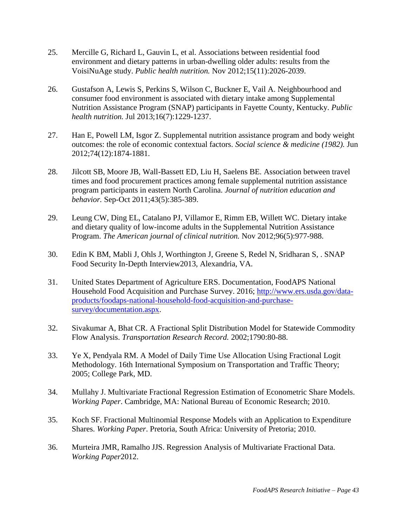- 25. Mercille G, Richard L, Gauvin L, et al. Associations between residential food environment and dietary patterns in urban-dwelling older adults: results from the VoisiNuAge study. *Public health nutrition.* Nov 2012;15(11):2026-2039.
- 26. Gustafson A, Lewis S, Perkins S, Wilson C, Buckner E, Vail A. Neighbourhood and consumer food environment is associated with dietary intake among Supplemental Nutrition Assistance Program (SNAP) participants in Fayette County, Kentucky. *Public health nutrition.* Jul 2013;16(7):1229-1237.
- 27. Han E, Powell LM, Isgor Z. Supplemental nutrition assistance program and body weight outcomes: the role of economic contextual factors. *Social science & medicine (1982).* Jun 2012;74(12):1874-1881.
- 28. Jilcott SB, Moore JB, Wall-Bassett ED, Liu H, Saelens BE. Association between travel times and food procurement practices among female supplemental nutrition assistance program participants in eastern North Carolina. *Journal of nutrition education and behavior.* Sep-Oct 2011;43(5):385-389.
- 29. Leung CW, Ding EL, Catalano PJ, Villamor E, Rimm EB, Willett WC. Dietary intake and dietary quality of low-income adults in the Supplemental Nutrition Assistance Program. *The American journal of clinical nutrition.* Nov 2012;96(5):977-988.
- 30. Edin K BM, Mabli J, Ohls J, Worthington J, Greene S, Redel N, Sridharan S, . SNAP Food Security In-Depth Interview2013, Alexandria, VA.
- 31. United States Department of Agriculture ERS. Documentation, FoodAPS National Household Food Acquisition and Purchase Survey. 2016; [http://www.ers.usda.gov/data](http://www.ers.usda.gov/data-products/foodaps-national-household-food-acquisition-and-purchase-survey/documentation.aspx)[products/foodaps-national-household-food-acquisition-and-purchase](http://www.ers.usda.gov/data-products/foodaps-national-household-food-acquisition-and-purchase-survey/documentation.aspx)[survey/documentation.aspx.](http://www.ers.usda.gov/data-products/foodaps-national-household-food-acquisition-and-purchase-survey/documentation.aspx)
- 32. Sivakumar A, Bhat CR. A Fractional Split Distribution Model for Statewide Commodity Flow Analysis. *Transportation Research Record.* 2002;1790:80-88.
- 33. Ye X, Pendyala RM. A Model of Daily Time Use Allocation Using Fractional Logit Methodology. 16th International Symposium on Transportation and Traffic Theory; 2005; College Park, MD.
- 34. Mullahy J. Multivariate Fractional Regression Estimation of Econometric Share Models. *Working Paper*. Cambridge, MA: National Bureau of Economic Research; 2010.
- 35. Koch SF. Fractional Multinomial Response Models with an Application to Expenditure Shares. *Working Paper*. Pretoria, South Africa: University of Pretoria; 2010.
- 36. Murteira JMR, Ramalho JJS. Regression Analysis of Multivariate Fractional Data. *Working Paper*2012.